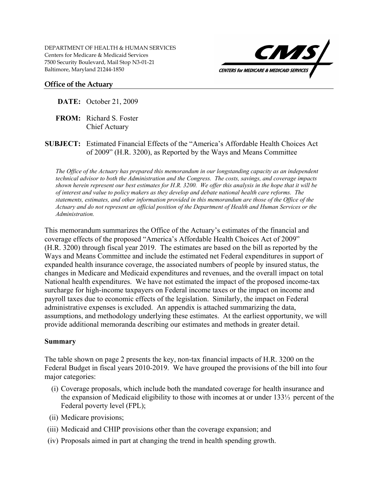

### **Office of the Actuary**

- **DATE:** October 21, 2009
- **FROM:** Richard S. Foster Chief Actuary
- **SUBJECT:** Estimated Financial Effects of the "America's Affordable Health Choices Act of 2009" (H.R. 3200), as Reported by the Ways and Means Committee

*The Office of the Actuary has prepared this memorandum in our longstanding capacity as an independent technical advisor to both the Administration and the Congress. The costs, savings, and coverage impacts shown herein represent our best estimates for H.R. 3200. We offer this analysis in the hope that it will be of interest and value to policy makers as they develop and debate national health care reforms. The statements, estimates, and other information provided in this memorandum are those of the Office of the Actuary and do not represent an official position of the Department of Health and Human Services or the Administration.* 

This memorandum summarizes the Office of the Actuary's estimates of the financial and coverage effects of the proposed "America's Affordable Health Choices Act of 2009" (H.R. 3200) through fiscal year 2019. The estimates are based on the bill as reported by the Ways and Means Committee and include the estimated net Federal expenditures in support of expanded health insurance coverage, the associated numbers of people by insured status, the changes in Medicare and Medicaid expenditures and revenues, and the overall impact on total National health expenditures. We have not estimated the impact of the proposed income-tax surcharge for high-income taxpayers on Federal income taxes or the impact on income and payroll taxes due to economic effects of the legislation. Similarly, the impact on Federal administrative expenses is excluded. An appendix is attached summarizing the data, assumptions, and methodology underlying these estimates. At the earliest opportunity, we will provide additional memoranda describing our estimates and methods in greater detail.

### **Summary**

The table shown on page 2 presents the key, non-tax financial impacts of H.R. 3200 on the Federal Budget in fiscal years 2010-2019. We have grouped the provisions of the bill into four major categories:

- (i) Coverage proposals, which include both the mandated coverage for health insurance and the expansion of Medicaid eligibility to those with incomes at or under 133⅓ percent of the Federal poverty level (FPL);
- (ii) Medicare provisions;
- (iii) Medicaid and CHIP provisions other than the coverage expansion; and
- (iv) Proposals aimed in part at changing the trend in health spending growth.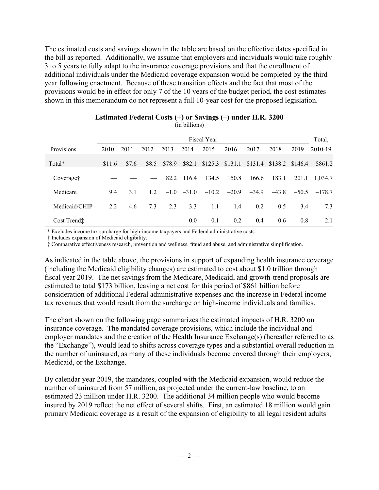The estimated costs and savings shown in the table are based on the effective dates specified in the bill as reported. Additionally, we assume that employers and individuals would take roughly 3 to 5 years to fully adapt to the insurance coverage provisions and that the enrollment of additional individuals under the Medicaid coverage expansion would be completed by the third year following enactment. Because of these transition effects and the fact that most of the provisions would be in effect for only 7 of the 10 years of the budget period, the cost estimates shown in this memorandum do not represent a full 10-year cost for the proposed legislation.

|                         |        |       |       |        |              | <b>Fiscal Year</b> |                   |         |                   |        | Total,         |
|-------------------------|--------|-------|-------|--------|--------------|--------------------|-------------------|---------|-------------------|--------|----------------|
| Provisions              | 2010   | 2011  | 2012  | 2013   | 2014         | 2015               | 2016              | 2017    | 2018              | 2019   | 2010-19        |
| Total*                  | \$11.6 | \$7.6 | \$8.5 | \$78.9 | \$82.1       |                    | $$125.3$ $$131.1$ | \$131.4 | $$138.2$ $$146.4$ |        | \$861.2        |
| Coverage <sup>†</sup>   |        |       |       | 82.2   | 116.4        | 134.5              | 150.8             | 166.6   | 183.1             | 201.1  | 1,034.7        |
| Medicare                | 9.4    | 3.1   | 12    |        | $-1.0 -31.0$ | $-10.2$            | $-20.9$           | $-34.9$ | $-43.8$           |        | $-50.5 -178.7$ |
| Medicaid/CHIP           | 2.2    | 4.6   | 7.3   | $-2.3$ | $-3.3$       | 1.1                | 1.4               | 0.2     | $-0.5$            | $-3.4$ | 7.3            |
| Cost Trend <sup>+</sup> |        |       |       |        | $-0.0$       | $-0.1$             | $-0.2$            | $-0.4$  | $-0.6$            | $-0.8$ | $-2.1$         |

#### **Estimated Federal Costs (+) or Savings (–) under H.R. 3200**  (in billions)

\* Excludes income tax surcharge for high-income taxpayers and Federal administrative costs.

† Includes expansion of Medicaid eligibility.

‡ Comparative effectiveness research, prevention and wellness, fraud and abuse, and administrative simplification.

As indicated in the table above, the provisions in support of expanding health insurance coverage (including the Medicaid eligibility changes) are estimated to cost about \$1.0 trillion through fiscal year 2019. The net savings from the Medicare, Medicaid, and growth-trend proposals are estimated to total \$173 billion, leaving a net cost for this period of \$861 billion before consideration of additional Federal administrative expenses and the increase in Federal income tax revenues that would result from the surcharge on high-income individuals and families.

The chart shown on the following page summarizes the estimated impacts of H.R. 3200 on insurance coverage. The mandated coverage provisions, which include the individual and employer mandates and the creation of the Health Insurance Exchange(s) (hereafter referred to as the "Exchange"), would lead to shifts across coverage types and a substantial overall reduction in the number of uninsured, as many of these individuals become covered through their employers, Medicaid, or the Exchange.

By calendar year 2019, the mandates, coupled with the Medicaid expansion, would reduce the number of uninsured from 57 million, as projected under the current-law baseline, to an estimated 23 million under H.R. 3200. The additional 34 million people who would become insured by 2019 reflect the net effect of several shifts. First, an estimated 18 million would gain primary Medicaid coverage as a result of the expansion of eligibility to all legal resident adults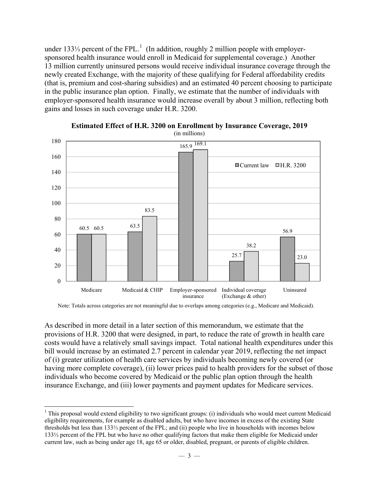under [1](#page-2-0)33¼ percent of the FPL.<sup>1</sup> (In addition, roughly 2 million people with employersponsored health insurance would enroll in Medicaid for supplemental coverage.) Another 13 million currently uninsured persons would receive individual insurance coverage through the newly created Exchange, with the majority of these qualifying for Federal affordability credits (that is, premium and cost-sharing subsidies) and an estimated 40 percent choosing to participate in the public insurance plan option. Finally, we estimate that the number of individuals with employer-sponsored health insurance would increase overall by about 3 million, reflecting both gains and losses in such coverage under H.R. 3200.



**Estimated Effect of H.R. 3200 on Enrollment by Insurance Coverage, 2019**  (in millions)

As described in more detail in a later section of this memorandum, we estimate that the provisions of H.R. 3200 that were designed, in part, to reduce the rate of growth in health care costs would have a relatively small savings impact. Total national health expenditures under this bill would increase by an estimated 2.7 percent in calendar year 2019, reflecting the net impact of (i) greater utilization of health care services by individuals becoming newly covered (or having more complete coverage), (ii) lower prices paid to health providers for the subset of those individuals who become covered by Medicaid or the public plan option through the health insurance Exchange, and (iii) lower payments and payment updates for Medicare services.

1

Note: Totals across categories are not meaningful due to overlaps among categories (e.g., Medicare and Medicaid).

<span id="page-2-0"></span> $1$  This proposal would extend eligibility to two significant groups: (i) individuals who would meet current Medicaid eligibility requirements, for example as disabled adults, but who have incomes in excess of the existing State thresholds but less than 133⅓ percent of the FPL; and (ii) people who live in households with incomes below 133⅓ percent of the FPL but who have no other qualifying factors that make them eligible for Medicaid under current law, such as being under age 18, age 65 or older, disabled, pregnant, or parents of eligible children.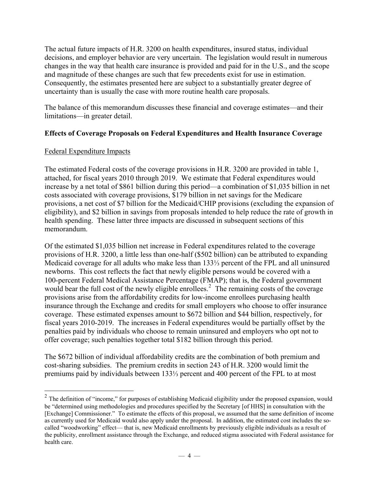The actual future impacts of H.R. 3200 on health expenditures, insured status, individual decisions, and employer behavior are very uncertain. The legislation would result in numerous changes in the way that health care insurance is provided and paid for in the U.S., and the scope and magnitude of these changes are such that few precedents exist for use in estimation. Consequently, the estimates presented here are subject to a substantially greater degree of uncertainty than is usually the case with more routine health care proposals.

The balance of this memorandum discusses these financial and coverage estimates—and their limitations—in greater detail.

# **Effects of Coverage Proposals on Federal Expenditures and Health Insurance Coverage**

## Federal Expenditure Impacts

 $\overline{a}$ 

The estimated Federal costs of the coverage provisions in H.R. 3200 are provided in table 1, attached, for fiscal years 2010 through 2019. We estimate that Federal expenditures would increase by a net total of \$861 billion during this period—a combination of \$1,035 billion in net costs associated with coverage provisions, \$179 billion in net savings for the Medicare provisions, a net cost of \$7 billion for the Medicaid/CHIP provisions (excluding the expansion of eligibility), and \$2 billion in savings from proposals intended to help reduce the rate of growth in health spending. These latter three impacts are discussed in subsequent sections of this memorandum.

Of the estimated \$1,035 billion net increase in Federal expenditures related to the coverage provisions of H.R. 3200, a little less than one-half (\$502 billion) can be attributed to expanding Medicaid coverage for all adults who make less than 133⅓ percent of the FPL and all uninsured newborns. This cost reflects the fact that newly eligible persons would be covered with a 100-percent Federal Medical Assistance Percentage (FMAP); that is, the Federal government would bear the full cost of the newly eligible enrollees.<sup>[2](#page-3-0)</sup> The remaining costs of the coverage provisions arise from the affordability credits for low-income enrollees purchasing health insurance through the Exchange and credits for small employers who choose to offer insurance coverage. These estimated expenses amount to \$672 billion and \$44 billion, respectively, for fiscal years 2010-2019. The increases in Federal expenditures would be partially offset by the penalties paid by individuals who choose to remain uninsured and employers who opt not to offer coverage; such penalties together total \$182 billion through this period.

The \$672 billion of individual affordability credits are the combination of both premium and cost-sharing subsidies. The premium credits in section 243 of H.R. 3200 would limit the premiums paid by individuals between 133⅓ percent and 400 percent of the FPL to at most

<span id="page-3-0"></span> $2$  The definition of "income," for purposes of establishing Medicaid eligibility under the proposed expansion, would be "determined using methodologies and procedures specified by the Secretary [of HHS] in consultation with the [Exchange] Commissioner." To estimate the effects of this proposal, we assumed that the same definition of income as currently used for Medicaid would also apply under the proposal. In addition, the estimated cost includes the socalled "woodworking" effect— that is, new Medicaid enrollments by previously eligible individuals as a result of the publicity, enrollment assistance through the Exchange, and reduced stigma associated with Federal assistance for health care.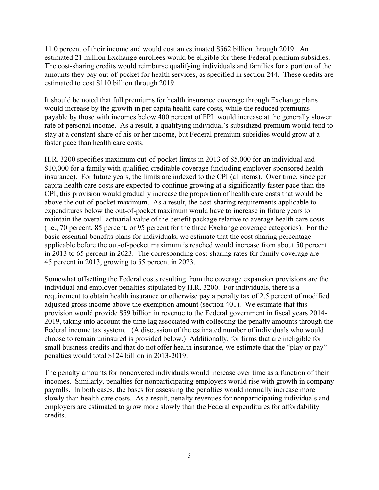11.0 percent of their income and would cost an estimated \$562 billion through 2019. An estimated 21 million Exchange enrollees would be eligible for these Federal premium subsidies. The cost-sharing credits would reimburse qualifying individuals and families for a portion of the amounts they pay out-of-pocket for health services, as specified in section 244. These credits are estimated to cost \$110 billion through 2019.

It should be noted that full premiums for health insurance coverage through Exchange plans would increase by the growth in per capita health care costs, while the reduced premiums payable by those with incomes below 400 percent of FPL would increase at the generally slower rate of personal income. As a result, a qualifying individual's subsidized premium would tend to stay at a constant share of his or her income, but Federal premium subsidies would grow at a faster pace than health care costs.

H.R. 3200 specifies maximum out-of-pocket limits in 2013 of \$5,000 for an individual and \$10,000 for a family with qualified creditable coverage (including employer-sponsored health insurance). For future years, the limits are indexed to the CPI (all items). Over time, since per capita health care costs are expected to continue growing at a significantly faster pace than the CPI, this provision would gradually increase the proportion of health care costs that would be above the out-of-pocket maximum. As a result, the cost-sharing requirements applicable to expenditures below the out-of-pocket maximum would have to increase in future years to maintain the overall actuarial value of the benefit package relative to average health care costs (i.e., 70 percent, 85 percent, or 95 percent for the three Exchange coverage categories). For the basic essential-benefits plans for individuals, we estimate that the cost-sharing percentage applicable before the out-of-pocket maximum is reached would increase from about 50 percent in 2013 to 65 percent in 2023. The corresponding cost-sharing rates for family coverage are 45 percent in 2013, growing to 55 percent in 2023.

Somewhat offsetting the Federal costs resulting from the coverage expansion provisions are the individual and employer penalties stipulated by H.R. 3200. For individuals, there is a requirement to obtain health insurance or otherwise pay a penalty tax of 2.5 percent of modified adjusted gross income above the exemption amount (section 401). We estimate that this provision would provide \$59 billion in revenue to the Federal government in fiscal years 2014- 2019, taking into account the time lag associated with collecting the penalty amounts through the Federal income tax system. (A discussion of the estimated number of individuals who would choose to remain uninsured is provided below.) Additionally, for firms that are ineligible for small business credits and that do not offer health insurance, we estimate that the "play or pay" penalties would total \$124 billion in 2013-2019.

The penalty amounts for noncovered individuals would increase over time as a function of their incomes. Similarly, penalties for nonparticipating employers would rise with growth in company payrolls. In both cases, the bases for assessing the penalties would normally increase more slowly than health care costs. As a result, penalty revenues for nonparticipating individuals and employers are estimated to grow more slowly than the Federal expenditures for affordability credits.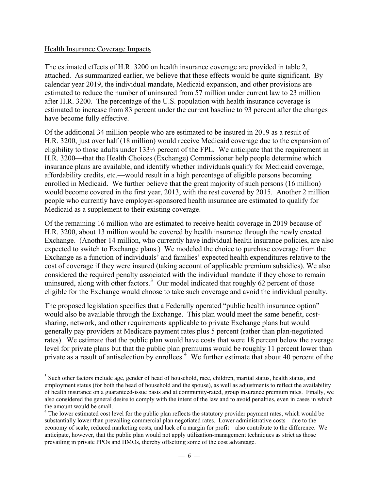### Health Insurance Coverage Impacts

 $\overline{a}$ 

The estimated effects of H.R. 3200 on health insurance coverage are provided in table 2, attached. As summarized earlier, we believe that these effects would be quite significant. By calendar year 2019, the individual mandate, Medicaid expansion, and other provisions are estimated to reduce the number of uninsured from 57 million under current law to 23 million after H.R. 3200. The percentage of the U.S. population with health insurance coverage is estimated to increase from 83 percent under the current baseline to 93 percent after the changes have become fully effective.

Of the additional 34 million people who are estimated to be insured in 2019 as a result of H.R. 3200, just over half (18 million) would receive Medicaid coverage due to the expansion of eligibility to those adults under 133⅓ percent of the FPL. We anticipate that the requirement in H.R. 3200—that the Health Choices (Exchange) Commissioner help people determine which insurance plans are available, and identify whether individuals qualify for Medicaid coverage, affordability credits, etc.—would result in a high percentage of eligible persons becoming enrolled in Medicaid. We further believe that the great majority of such persons (16 million) would become covered in the first year, 2013, with the rest covered by 2015. Another 2 million people who currently have employer-sponsored health insurance are estimated to qualify for Medicaid as a supplement to their existing coverage.

Of the remaining 16 million who are estimated to receive health coverage in 2019 because of H.R. 3200, about 13 million would be covered by health insurance through the newly created Exchange. (Another 14 million, who currently have individual health insurance policies, are also expected to switch to Exchange plans.) We modeled the choice to purchase coverage from the Exchange as a function of individuals' and families' expected health expenditures relative to the cost of coverage if they were insured (taking account of applicable premium subsidies). We also considered the required penalty associated with the individual mandate if they chose to remain uninsured, along with other factors.<sup>[3](#page-5-0)</sup> Our model indicated that roughly 62 percent of those eligible for the Exchange would choose to take such coverage and avoid the individual penalty.

The proposed legislation specifies that a Federally operated "public health insurance option" would also be available through the Exchange. This plan would meet the same benefit, costsharing, network, and other requirements applicable to private Exchange plans but would generally pay providers at Medicare payment rates plus 5 percent (rather than plan-negotiated rates). We estimate that the public plan would have costs that were 18 percent below the average level for private plans but that the public plan premiums would be roughly 11 percent lower than private as a result of antiselection by enrollees.<sup>[4](#page-5-1)</sup> We further estimate that about 40 percent of the

<span id="page-5-0"></span><sup>&</sup>lt;sup>3</sup> Such other factors include age, gender of head of household, race, children, marital status, health status, and employment status (for both the head of household and the spouse), as well as adjustments to reflect the availability of health insurance on a guaranteed-issue basis and at community-rated, group insurance premium rates. Finally, we also considered the general desire to comply with the intent of the law and to avoid penalties, even in cases in which the amount would be small.

<span id="page-5-1"></span><sup>&</sup>lt;sup>4</sup> The lower estimated cost level for the public plan reflects the statutory provider payment rates, which would be substantially lower than prevailing commercial plan negotiated rates. Lower administrative costs—due to the economy of scale, reduced marketing costs, and lack of a margin for profit—also contribute to the difference. We anticipate, however, that the public plan would not apply utilization-management techniques as strict as those prevailing in private PPOs and HMOs, thereby offsetting some of the cost advantage.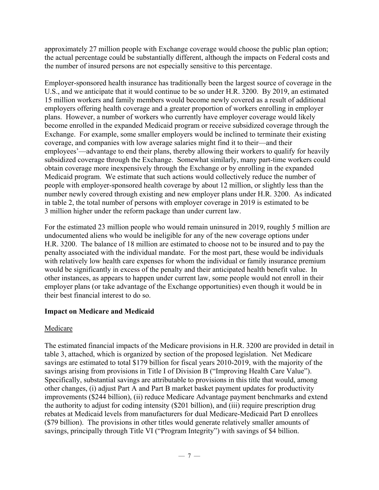approximately 27 million people with Exchange coverage would choose the public plan option; the actual percentage could be substantially different, although the impacts on Federal costs and the number of insured persons are not especially sensitive to this percentage.

Employer-sponsored health insurance has traditionally been the largest source of coverage in the U.S., and we anticipate that it would continue to be so under H.R. 3200. By 2019, an estimated 15 million workers and family members would become newly covered as a result of additional employers offering health coverage and a greater proportion of workers enrolling in employer plans. However, a number of workers who currently have employer coverage would likely become enrolled in the expanded Medicaid program or receive subsidized coverage through the Exchange. For example, some smaller employers would be inclined to terminate their existing coverage, and companies with low average salaries might find it to their—and their employees'—advantage to end their plans, thereby allowing their workers to qualify for heavily subsidized coverage through the Exchange. Somewhat similarly, many part-time workers could obtain coverage more inexpensively through the Exchange or by enrolling in the expanded Medicaid program. We estimate that such actions would collectively reduce the number of people with employer-sponsored health coverage by about 12 million, or slightly less than the number newly covered through existing and new employer plans under H.R. 3200. As indicated in table 2, the total number of persons with employer coverage in 2019 is estimated to be 3 million higher under the reform package than under current law.

For the estimated 23 million people who would remain uninsured in 2019, roughly 5 million are undocumented aliens who would be ineligible for any of the new coverage options under H.R. 3200. The balance of 18 million are estimated to choose not to be insured and to pay the penalty associated with the individual mandate. For the most part, these would be individuals with relatively low health care expenses for whom the individual or family insurance premium would be significantly in excess of the penalty and their anticipated health benefit value. In other instances, as appears to happen under current law, some people would not enroll in their employer plans (or take advantage of the Exchange opportunities) even though it would be in their best financial interest to do so.

# **Impact on Medicare and Medicaid**

## Medicare

The estimated financial impacts of the Medicare provisions in H.R. 3200 are provided in detail in table 3, attached, which is organized by section of the proposed legislation. Net Medicare savings are estimated to total \$179 billion for fiscal years 2010-2019, with the majority of the savings arising from provisions in Title I of Division B ("Improving Health Care Value"). Specifically, substantial savings are attributable to provisions in this title that would, among other changes, (i) adjust Part A and Part B market basket payment updates for productivity improvements (\$244 billion), (ii) reduce Medicare Advantage payment benchmarks and extend the authority to adjust for coding intensity (\$201 billion), and (iii) require prescription drug rebates at Medicaid levels from manufacturers for dual Medicare-Medicaid Part D enrollees (\$79 billion). The provisions in other titles would generate relatively smaller amounts of savings, principally through Title VI ("Program Integrity") with savings of \$4 billion.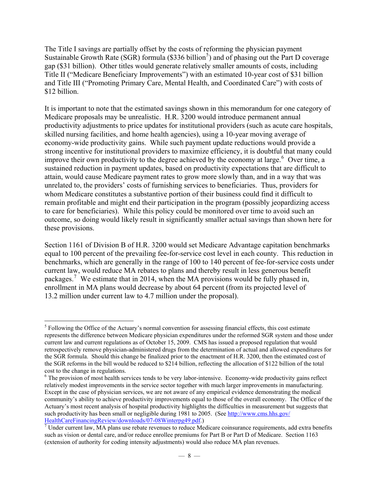The Title I savings are partially offset by the costs of reforming the physician payment Sustainable Growth Rate (SGR) formula (\$336 billion<sup>[5](#page-7-0)</sup>) and of phasing out the Part D coverage gap (\$31 billion). Other titles would generate relatively smaller amounts of costs, including Title II ("Medicare Beneficiary Improvements") with an estimated 10-year cost of \$31 billion and Title III ("Promoting Primary Care, Mental Health, and Coordinated Care") with costs of \$12 billion.

It is important to note that the estimated savings shown in this memorandum for one category of Medicare proposals may be unrealistic. H.R. 3200 would introduce permanent annual productivity adjustments to price updates for institutional providers (such as acute care hospitals, skilled nursing facilities, and home health agencies), using a 10-year moving average of economy-wide productivity gains. While such payment update reductions would provide a strong incentive for institutional providers to maximize efficiency, it is doubtful that many could improve their own productivity to the degree achieved by the economy at large.<sup>[6](#page-7-1)</sup> Over time, a sustained reduction in payment updates, based on productivity expectations that are difficult to attain, would cause Medicare payment rates to grow more slowly than, and in a way that was unrelated to, the providers' costs of furnishing services to beneficiaries. Thus, providers for whom Medicare constitutes a substantive portion of their business could find it difficult to remain profitable and might end their participation in the program (possibly jeopardizing access to care for beneficiaries). While this policy could be monitored over time to avoid such an outcome, so doing would likely result in significantly smaller actual savings than shown here for these provisions.

Section 1161 of Division B of H.R. 3200 would set Medicare Advantage capitation benchmarks equal to 100 percent of the prevailing fee-for-service cost level in each county. This reduction in benchmarks, which are generally in the range of 100 to 140 percent of fee-for-service costs under current law, would reduce MA rebates to plans and thereby result in less generous benefit packages.<sup>[7](#page-7-2)</sup> We estimate that in 2014, when the MA provisions would be fully phased in, enrollment in MA plans would decrease by about 64 percent (from its projected level of 13.2 million under current law to 4.7 million under the proposal).

<span id="page-7-0"></span><sup>1</sup> <sup>5</sup> Following the Office of the Actuary's normal convention for assessing financial effects, this cost estimate represents the difference between Medicare physician expenditures under the reformed SGR system and those under current law and current regulations as of October 15, 2009. CMS has issued a proposed regulation that would retrospectively remove physician-administered drugs from the determination of actual and allowed expenditures for the SGR formula. Should this change be finalized prior to the enactment of H.R. 3200, then the estimated cost of the SGR reforms in the bill would be reduced to \$214 billion, reflecting the allocation of \$122 billion of the total cost to the change in regulations.

<span id="page-7-1"></span><sup>&</sup>lt;sup>6</sup> The provision of most health services tends to be very labor-intensive. Economy-wide productivity gains reflect relatively modest improvements in the service sector together with much larger improvements in manufacturing. Except in the case of physician services, we are not aware of any empirical evidence demonstrating the medical community's ability to achieve productivity improvements equal to those of the overall economy. The Office of the Actuary's most recent analysis of hospital productivity highlights the difficulties in measurement but suggests that such productivity has been small or negligible during 1981 to 2005. (See [http://www.cms.hhs.gov/](http://www.cms.hhs.gov/HealthCareFinancingReview/downloads/07-08Winterpg49.pdf) [HealthCareFinancingReview/downloads/07-08Winterpg49.pdf.](http://www.cms.hhs.gov/HealthCareFinancingReview/downloads/07-08Winterpg49.pdf)) [7](http://www.cms.hhs.gov/HealthCareFinancingReview/downloads/07-08Winterpg49.pdf)

<span id="page-7-2"></span> $\sqrt{7}$  Under current law, MA plans use rebate revenues to reduce Medicare coinsurance requirements, add extra benefits such as vision or dental care, and/or reduce enrollee premiums for Part B or Part D of Medicare. Section 1163 (extension of authority for coding intensity adjustments) would also reduce MA plan revenues.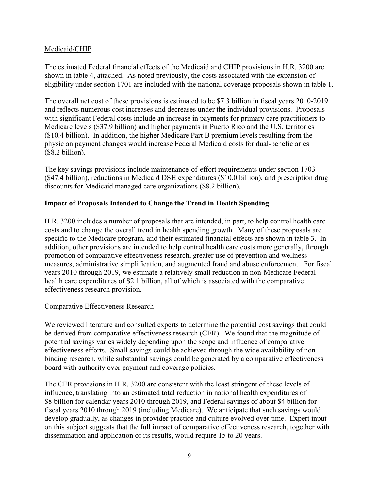## Medicaid/CHIP

The estimated Federal financial effects of the Medicaid and CHIP provisions in H.R. 3200 are shown in table 4, attached. As noted previously, the costs associated with the expansion of eligibility under section 1701 are included with the national coverage proposals shown in table 1.

The overall net cost of these provisions is estimated to be \$7.3 billion in fiscal years 2010-2019 and reflects numerous cost increases and decreases under the individual provisions. Proposals with significant Federal costs include an increase in payments for primary care practitioners to Medicare levels (\$37.9 billion) and higher payments in Puerto Rico and the U.S. territories (\$10.4 billion). In addition, the higher Medicare Part B premium levels resulting from the physician payment changes would increase Federal Medicaid costs for dual-beneficiaries (\$8.2 billion).

The key savings provisions include maintenance-of-effort requirements under section 1703 (\$47.4 billion), reductions in Medicaid DSH expenditures (\$10.0 billion), and prescription drug discounts for Medicaid managed care organizations (\$8.2 billion).

## **Impact of Proposals Intended to Change the Trend in Health Spending**

H.R. 3200 includes a number of proposals that are intended, in part, to help control health care costs and to change the overall trend in health spending growth. Many of these proposals are specific to the Medicare program, and their estimated financial effects are shown in table 3. In addition, other provisions are intended to help control health care costs more generally, through promotion of comparative effectiveness research, greater use of prevention and wellness measures, administrative simplification, and augmented fraud and abuse enforcement. For fiscal years 2010 through 2019, we estimate a relatively small reduction in non-Medicare Federal health care expenditures of \$2.1 billion, all of which is associated with the comparative effectiveness research provision.

## Comparative Effectiveness Research

We reviewed literature and consulted experts to determine the potential cost savings that could be derived from comparative effectiveness research (CER). We found that the magnitude of potential savings varies widely depending upon the scope and influence of comparative effectiveness efforts. Small savings could be achieved through the wide availability of nonbinding research, while substantial savings could be generated by a comparative effectiveness board with authority over payment and coverage policies.

The CER provisions in H.R. 3200 are consistent with the least stringent of these levels of influence, translating into an estimated total reduction in national health expenditures of \$8 billion for calendar years 2010 through 2019, and Federal savings of about \$4 billion for fiscal years 2010 through 2019 (including Medicare). We anticipate that such savings would develop gradually, as changes in provider practice and culture evolved over time. Expert input on this subject suggests that the full impact of comparative effectiveness research, together with dissemination and application of its results, would require 15 to 20 years.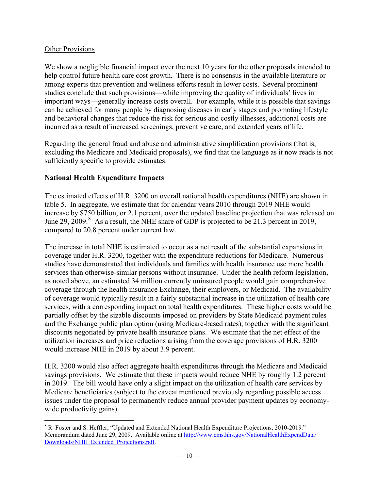## Other Provisions

We show a negligible financial impact over the next 10 years for the other proposals intended to help control future health care cost growth. There is no consensus in the available literature or among experts that prevention and wellness efforts result in lower costs. Several prominent studies conclude that such provisions—while improving the quality of individuals' lives in important ways—generally increase costs overall. For example, while it is possible that savings can be achieved for many people by diagnosing diseases in early stages and promoting lifestyle and behavioral changes that reduce the risk for serious and costly illnesses, additional costs are incurred as a result of increased screenings, preventive care, and extended years of life.

Regarding the general fraud and abuse and administrative simplification provisions (that is, excluding the Medicare and Medicaid proposals), we find that the language as it now reads is not sufficiently specific to provide estimates.

## **National Health Expenditure Impacts**

The estimated effects of H.R. 3200 on overall national health expenditures (NHE) are shown in table 5. In aggregate, we estimate that for calendar years 2010 through 2019 NHE would increase by \$750 billion, or 2.1 percent, over the updated baseline projection that was released on June 29, 2009.<sup>[8](#page-9-0)</sup> As a result, the NHE share of GDP is projected to be 21.3 percent in 2019, compared to 20.8 percent under current law.

The increase in total NHE is estimated to occur as a net result of the substantial expansions in coverage under H.R. 3200, together with the expenditure reductions for Medicare. Numerous studies have demonstrated that individuals and families with health insurance use more health services than otherwise-similar persons without insurance. Under the health reform legislation, as noted above, an estimated 34 million currently uninsured people would gain comprehensive coverage through the health insurance Exchange, their employers, or Medicaid. The availability of coverage would typically result in a fairly substantial increase in the utilization of health care services, with a corresponding impact on total health expenditures. These higher costs would be partially offset by the sizable discounts imposed on providers by State Medicaid payment rules and the Exchange public plan option (using Medicare-based rates), together with the significant discounts negotiated by private health insurance plans. We estimate that the net effect of the utilization increases and price reductions arising from the coverage provisions of H.R. 3200 would increase NHE in 2019 by about 3.9 percent.

H.R. 3200 would also affect aggregate health expenditures through the Medicare and Medicaid savings provisions. We estimate that these impacts would reduce NHE by roughly 1.2 percent in 2019. The bill would have only a slight impact on the utilization of health care services by Medicare beneficiaries (subject to the caveat mentioned previously regarding possible access issues under the proposal to permanently reduce annual provider payment updates by economywide productivity gains).

<span id="page-9-0"></span> $\overline{a}$ <sup>8</sup> R. Foster and S. Heffler, "Updated and Extended National Health Expenditure Projections, 2010-2019." Memorandum dated June 29, 2009. Available online at [http://www.cms.hhs.gov/NationalHealthExpendData/](http://www.cms.hhs.gov/NationalHealthExpendData/Downloads/NHE_Extended_Projections.pdf) [Downloads/NHE\\_Extended\\_Projections.pdf.](http://www.cms.hhs.gov/NationalHealthExpendData/Downloads/NHE_Extended_Projections.pdf)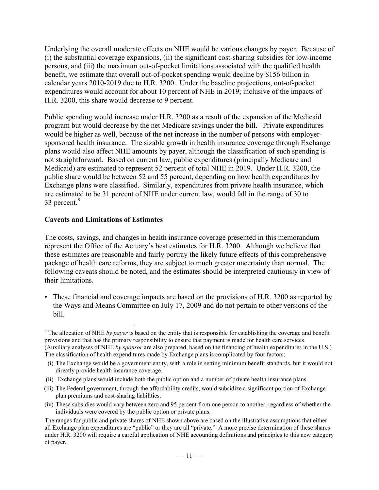Underlying the overall moderate effects on NHE would be various changes by payer. Because of (i) the substantial coverage expansions, (ii) the significant cost-sharing subsidies for low-income persons, and (iii) the maximum out-of-pocket limitations associated with the qualified health benefit, we estimate that overall out-of-pocket spending would decline by \$156 billion in calendar years 2010-2019 due to H.R. 3200. Under the baseline projections, out-of-pocket expenditures would account for about 10 percent of NHE in 2019; inclusive of the impacts of H.R. 3200, this share would decrease to 9 percent.

Public spending would increase under H.R. 3200 as a result of the expansion of the Medicaid program but would decrease by the net Medicare savings under the bill. Private expenditures would be higher as well, because of the net increase in the number of persons with employersponsored health insurance. The sizable growth in health insurance coverage through Exchange plans would also affect NHE amounts by payer, although the classification of such spending is not straightforward. Based on current law, public expenditures (principally Medicare and Medicaid) are estimated to represent 52 percent of total NHE in 2019. Under H.R. 3200, the public share would be between 52 and 55 percent, depending on how health expenditures by Exchange plans were classified. Similarly, expenditures from private health insurance, which are estimated to be 31 percent of NHE under current law, would fall in the range of 30 to 33 percent. $9$ 

# **Caveats and Limitations of Estimates**

1

The costs, savings, and changes in health insurance coverage presented in this memorandum represent the Office of the Actuary's best estimates for H.R. 3200. Although we believe that these estimates are reasonable and fairly portray the likely future effects of this comprehensive package of health care reforms, they are subject to much greater uncertainty than normal. The following caveats should be noted, and the estimates should be interpreted cautiously in view of their limitations.

• These financial and coverage impacts are based on the provisions of H.R. 3200 as reported by the Ways and Means Committee on July 17, 2009 and do not pertain to other versions of the bill.

<span id="page-10-0"></span><sup>&</sup>lt;sup>9</sup> The allocation of NHE *by payer* is based on the entity that is responsible for establishing the coverage and benefit provisions and that has the primary responsibility to ensure that payment is made for health care services. (Auxiliary analyses of NHE *by sponsor* are also prepared, based on the financing of health expenditures in the U.S.) The classification of health expenditures made by Exchange plans is complicated by four factors:

<sup>(</sup>i) The Exchange would be a government entity, with a role in setting minimum benefit standards, but it would not directly provide health insurance coverage.

<sup>(</sup>ii) Exchange plans would include both the public option and a number of private health insurance plans.

<sup>(</sup>iii) The Federal government, through the affordability credits, would subsidize a significant portion of Exchange plan premiums and cost-sharing liabilities.

<sup>(</sup>iv) These subsidies would vary between zero and 95 percent from one person to another, regardless of whether the individuals were covered by the public option or private plans.

The ranges for public and private shares of NHE shown above are based on the illustrative assumptions that either all Exchange plan expenditures are "public" or they are all "private." A more precise determination of these shares under H.R. 3200 will require a careful application of NHE accounting definitions and principles to this new category of payer.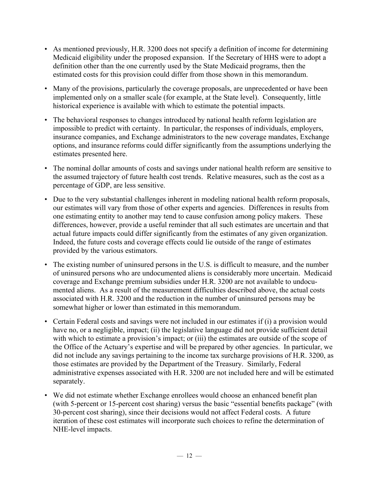- As mentioned previously, H.R. 3200 does not specify a definition of income for determining Medicaid eligibility under the proposed expansion. If the Secretary of HHS were to adopt a definition other than the one currently used by the State Medicaid programs, then the estimated costs for this provision could differ from those shown in this memorandum.
- Many of the provisions, particularly the coverage proposals, are unprecedented or have been implemented only on a smaller scale (for example, at the State level). Consequently, little historical experience is available with which to estimate the potential impacts.
- The behavioral responses to changes introduced by national health reform legislation are impossible to predict with certainty. In particular, the responses of individuals, employers, insurance companies, and Exchange administrators to the new coverage mandates, Exchange options, and insurance reforms could differ significantly from the assumptions underlying the estimates presented here.
- The nominal dollar amounts of costs and savings under national health reform are sensitive to the assumed trajectory of future health cost trends. Relative measures, such as the cost as a percentage of GDP, are less sensitive.
- Due to the very substantial challenges inherent in modeling national health reform proposals, our estimates will vary from those of other experts and agencies. Differences in results from one estimating entity to another may tend to cause confusion among policy makers. These differences, however, provide a useful reminder that all such estimates are uncertain and that actual future impacts could differ significantly from the estimates of any given organization. Indeed, the future costs and coverage effects could lie outside of the range of estimates provided by the various estimators.
- The existing number of uninsured persons in the U.S. is difficult to measure, and the number of uninsured persons who are undocumented aliens is considerably more uncertain. Medicaid coverage and Exchange premium subsidies under H.R. 3200 are not available to undocumented aliens. As a result of the measurement difficulties described above, the actual costs associated with H.R. 3200 and the reduction in the number of uninsured persons may be somewhat higher or lower than estimated in this memorandum.
- Certain Federal costs and savings were not included in our estimates if (i) a provision would have no, or a negligible, impact; (ii) the legislative language did not provide sufficient detail with which to estimate a provision's impact; or (iii) the estimates are outside of the scope of the Office of the Actuary's expertise and will be prepared by other agencies. In particular, we did not include any savings pertaining to the income tax surcharge provisions of H.R. 3200, as those estimates are provided by the Department of the Treasury. Similarly, Federal administrative expenses associated with H.R. 3200 are not included here and will be estimated separately.
- We did not estimate whether Exchange enrollees would choose an enhanced benefit plan (with 5-percent or 15-percent cost sharing) versus the basic "essential benefits package" (with 30-percent cost sharing), since their decisions would not affect Federal costs. A future iteration of these cost estimates will incorporate such choices to refine the determination of NHE-level impacts.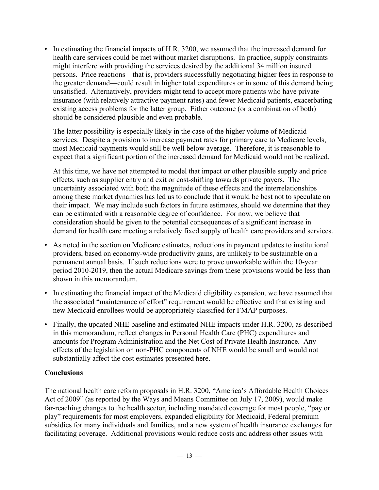• In estimating the financial impacts of H.R. 3200, we assumed that the increased demand for health care services could be met without market disruptions. In practice, supply constraints might interfere with providing the services desired by the additional 34 million insured persons. Price reactions—that is, providers successfully negotiating higher fees in response to the greater demand—could result in higher total expenditures or in some of this demand being unsatisfied. Alternatively, providers might tend to accept more patients who have private insurance (with relatively attractive payment rates) and fewer Medicaid patients, exacerbating existing access problems for the latter group. Either outcome (or a combination of both) should be considered plausible and even probable.

The latter possibility is especially likely in the case of the higher volume of Medicaid services. Despite a provision to increase payment rates for primary care to Medicare levels, most Medicaid payments would still be well below average. Therefore, it is reasonable to expect that a significant portion of the increased demand for Medicaid would not be realized.

At this time, we have not attempted to model that impact or other plausible supply and price effects, such as supplier entry and exit or cost-shifting towards private payers. The uncertainty associated with both the magnitude of these effects and the interrelationships among these market dynamics has led us to conclude that it would be best not to speculate on their impact. We may include such factors in future estimates, should we determine that they can be estimated with a reasonable degree of confidence. For now, we believe that consideration should be given to the potential consequences of a significant increase in demand for health care meeting a relatively fixed supply of health care providers and services.

- As noted in the section on Medicare estimates, reductions in payment updates to institutional providers, based on economy-wide productivity gains, are unlikely to be sustainable on a permanent annual basis. If such reductions were to prove unworkable within the 10-year period 2010-2019, then the actual Medicare savings from these provisions would be less than shown in this memorandum.
- In estimating the financial impact of the Medicaid eligibility expansion, we have assumed that the associated "maintenance of effort" requirement would be effective and that existing and new Medicaid enrollees would be appropriately classified for FMAP purposes.
- Finally, the updated NHE baseline and estimated NHE impacts under H.R. 3200, as described in this memorandum, reflect changes in Personal Health Care (PHC) expenditures and amounts for Program Administration and the Net Cost of Private Health Insurance. Any effects of the legislation on non-PHC components of NHE would be small and would not substantially affect the cost estimates presented here.

# **Conclusions**

The national health care reform proposals in H.R. 3200, "America's Affordable Health Choices Act of 2009" (as reported by the Ways and Means Committee on July 17, 2009), would make far-reaching changes to the health sector, including mandated coverage for most people, "pay or play" requirements for most employers, expanded eligibility for Medicaid, Federal premium subsidies for many individuals and families, and a new system of health insurance exchanges for facilitating coverage. Additional provisions would reduce costs and address other issues with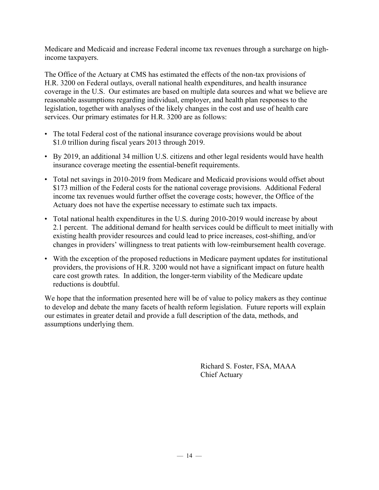Medicare and Medicaid and increase Federal income tax revenues through a surcharge on highincome taxpayers.

The Office of the Actuary at CMS has estimated the effects of the non-tax provisions of H.R. 3200 on Federal outlays, overall national health expenditures, and health insurance coverage in the U.S. Our estimates are based on multiple data sources and what we believe are reasonable assumptions regarding individual, employer, and health plan responses to the legislation, together with analyses of the likely changes in the cost and use of health care services. Our primary estimates for H.R. 3200 are as follows:

- The total Federal cost of the national insurance coverage provisions would be about \$1.0 trillion during fiscal years 2013 through 2019.
- By 2019, an additional 34 million U.S. citizens and other legal residents would have health insurance coverage meeting the essential-benefit requirements.
- Total net savings in 2010-2019 from Medicare and Medicaid provisions would offset about \$173 million of the Federal costs for the national coverage provisions. Additional Federal income tax revenues would further offset the coverage costs; however, the Office of the Actuary does not have the expertise necessary to estimate such tax impacts.
- Total national health expenditures in the U.S. during 2010-2019 would increase by about 2.1 percent. The additional demand for health services could be difficult to meet initially with existing health provider resources and could lead to price increases, cost-shifting, and/or changes in providers' willingness to treat patients with low-reimbursement health coverage.
- With the exception of the proposed reductions in Medicare payment updates for institutional providers, the provisions of H.R. 3200 would not have a significant impact on future health care cost growth rates. In addition, the longer-term viability of the Medicare update reductions is doubtful.

We hope that the information presented here will be of value to policy makers as they continue to develop and debate the many facets of health reform legislation. Future reports will explain our estimates in greater detail and provide a full description of the data, methods, and assumptions underlying them.

> Richard S. Foster, FSA, MAAA Chief Actuary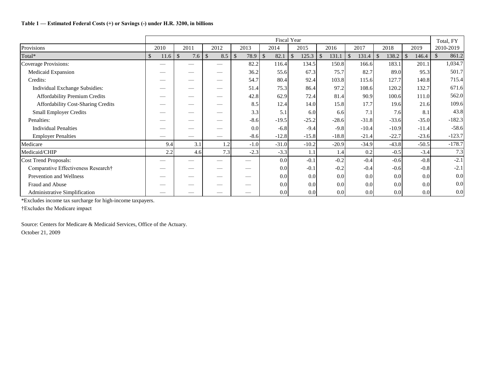### **Table 1 — Estimated Federal Costs (+) or Savings (-) under H.R. 3200, in billions**

|                                      |            |                      |                      |                       |                       | <b>Fiscal Year</b>                 |         |                     |                     |                       | Total, FY             |
|--------------------------------------|------------|----------------------|----------------------|-----------------------|-----------------------|------------------------------------|---------|---------------------|---------------------|-----------------------|-----------------------|
| Provisions                           | 2010       | 2011                 | 2012                 | 2013                  | 2014                  | 2015                               | 2016    | 2017                | 2018                | 2019                  | 2010-2019             |
| Total*                               | \$<br>11.6 | $\mathcal{S}$<br>7.6 | $\mathcal{S}$<br>8.5 | $\mathcal{S}$<br>78.9 | $\mathcal{S}$<br>82.1 | 125.3<br>$\boldsymbol{\mathsf{S}}$ | 131.1   | $\sqrt{3}$<br>131.4 | $\sqrt{3}$<br>138.2 | $\mathbb{S}$<br>146.4 | 861.2<br>$\mathbb{S}$ |
| Coverage Provisions:                 |            |                      |                      | 82.2                  | 116.4                 | 134.5                              | 150.8   | 166.6               | 183.1               | 201.1                 | 1,034.7               |
| Medicaid Expansion                   |            |                      |                      | 36.2                  | 55.6                  | 67.3                               | 75.7    | 82.7                | 89.0                | 95.3                  | 501.7                 |
| Credits:                             |            |                      |                      | 54.7                  | 80.4                  | 92.4                               | 103.8   | 115.6               | 127.7               | 140.8                 | 715.4                 |
| Individual Exchange Subsidies:       | $\sim$     |                      |                      | 51.4                  | 75.3                  | 86.4                               | 97.2    | 108.6               | 120.2               | 132.7                 | 671.6                 |
| Affordability Premium Credits        | __         |                      |                      | 42.8                  | 62.9                  | 72.4                               | 81.4    | 90.9                | 100.6               | 111.0                 | 562.0                 |
| Affordability Cost-Sharing Credits   |            |                      |                      | 8.5                   | 12.4                  | 14.0                               | 15.8    | 17.7                | 19.6                | 21.6                  | 109.6                 |
| <b>Small Employer Credits</b>        |            |                      |                      | 3.3                   | 5.1                   | 6.0                                | 6.6     | 7.1                 | 7.6                 | 8.1                   | 43.8                  |
| Penalties:                           |            |                      |                      | $-8.6$                | $-19.5$               | $-25.2$                            | $-28.6$ | $-31.8$             | $-33.6$             | $-35.0$               | $-182.3$              |
| <b>Individual Penalties</b>          |            |                      |                      | 0.0                   | $-6.8$                | $-9.4$                             | $-9.8$  | $-10.4$             | $-10.9$             | $-11.4$               | $-58.6$               |
| <b>Employer Penalties</b>            |            |                      | $-$                  | $-8.6$                | $-12.8$               | $-15.8$                            | $-18.8$ | $-21.4$             | $-22.7$             | $-23.6$               | $-123.7$              |
| Medicare                             | 9.4        | 3.1                  | 1.2                  | $-1.0$                | $-31.0$               | $-10.2$                            | $-20.9$ | $-34.9$             | $-43.8$             | $-50.5$               | $-178.7$              |
| Medicaid/CHIP                        | 2.2        | 4.6                  | 7.3                  | $-2.3$                | $-3.3$                | 1.1                                | 1.4     | 0.2                 | $-0.5$              | $-3.4$                | 7.3                   |
| Cost Trend Proposals:                |            |                      |                      |                       | 0.0                   | $-0.1$                             | $-0.2$  | $-0.4$              | $-0.6$              | $-0.8$                | $-2.1$                |
| Comparative Effectiveness Research†  |            |                      |                      |                       | 0.0                   | $-0.1$                             | $-0.2$  | $-0.4$              | $-0.6$              | $-0.8$                | $-2.1$                |
| Prevention and Wellness              |            |                      |                      | __                    | 0.0                   | 0.0 <sub>l</sub>                   | 0.0     | 0.0                 | 0.0                 | 0.0                   | 0.0                   |
| Fraud and Abuse                      |            |                      |                      |                       | 0.0                   | 0.0 <sub>l</sub>                   | 0.0     | 0.0                 | 0.0                 | 0.0                   | 0.0                   |
| <b>Administrative Simplification</b> |            |                      |                      |                       | 0.0                   | 0.0 <sub>l</sub>                   | 0.0     | 0.0                 | 0.0                 | 0.0                   | 0.0                   |

\*Excludes income tax surcharge for high-income taxpayers.

†Excludes the Medicare impact

Source: Centers for Medicare & Medicaid Services, Office of the Actuary. October 21, 2009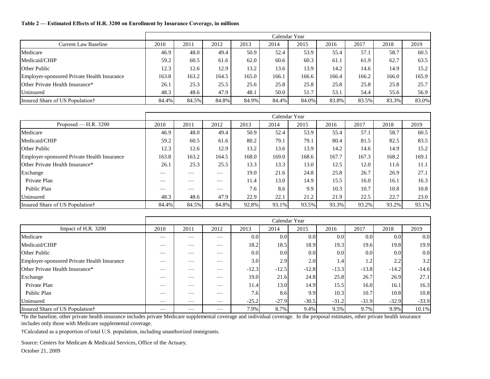### **Table 2 — Estimated Effects of H.R. 3200 on Enrollment by Insurance Coverage, in millions**

|                                             |       |       |       |       |       | Calendar Year |       |       |       |       |
|---------------------------------------------|-------|-------|-------|-------|-------|---------------|-------|-------|-------|-------|
| Current Law Baseline                        | 2010  | 2011  | 2012  | 2013  | 2014  | 2015          | 2016  | 2017  | 2018  | 2019  |
| Medicare                                    | 46.9  | 48.0  | 49.4  | 50.9  | 52.4  | 53.9          | 55.4  | 57.1  | 58.7  | 60.5  |
| Medicaid/CHIP                               | 59.2  | 60.5  | 61.6  | 62.0  | 60.6  | 60.3          | 61.1  | 61.9  | 62.7  | 63.5  |
| <b>Other Public</b>                         | 12.3  | 12.6  | 12.9  | 13.2  | 13.6  | 13.9          | 14.2  | 14.6  | 14.9  | 15.2  |
| Employer-sponsored Private Health Insurance | 163.8 | 163.2 | 164.5 | 165.0 | 166.1 | 166.6         | 166.4 | 166.2 | 166.0 | 165.9 |
| <b>Other Private Health Insurance*</b>      | 26.1  | 25.3  | 25.5  | 25.6  | 25.8  | 25.8          | 25.8  | 25.8  | 25.8  | 25.7  |
| Uninsured                                   | 48.3  | 48.6  | 47.9  | 48.1  | 50.0  | 51.7          | 53.1  | 54.4  | 55.6  | 56.9  |
| Insured Share of US Population†             | 84.4% | 84.5% | 84.8% | 84.9% | 84.4% | 84.0%         | 83.8% | 83.5% | 83.3% | 83.0% |

|                                             |       |       |       |       |       | Calendar Year |       |       |       |       |
|---------------------------------------------|-------|-------|-------|-------|-------|---------------|-------|-------|-------|-------|
| Proposed — H.R. $3200$                      | 2010  | 2011  | 2012  | 2013  | 2014  | 2015          | 2016  | 2017  | 2018  | 2019  |
| Medicare                                    | 46.9  | 48.0  | 49.4  | 50.9  | 52.4  | 53.9          | 55.4  | 57.1  | 58.7  | 60.5  |
| Medicaid/CHIP                               | 59.2  | 60.5  | 61.6  | 80.2  | 79.1  | 79.1          | 80.4  | 81.5  | 82.5  | 83.5  |
| <b>Other Public</b>                         | 12.3  | 12.6  | 12.9  | 13.2  | 13.6  | 13.9          | 14.2  | 14.6  | 14.9  | 15.2  |
| Employer-sponsored Private Health Insurance | 163.8 | 163.2 | 164.5 | 168.0 | 169.0 | 168.6         | 167.7 | 167.3 | 168.2 | 169.1 |
| Other Private Health Insurance*             | 26.1  | 25.3  | 25.5  | 13.3  | 13.3  | 13.0          | 12.5  | 12.0  | 11.6  | 11.1  |
| Exchange                                    |       |       |       | 19.0  | 21.6  | 24.8          | 25.8  | 26.7  | 26.9  | 27.1  |
| Private Plan                                |       |       |       | 11.4  | 13.0  | 14.9          | 15.5  | 16.0  | 16.1  | 16.3  |
| Public Plan                                 |       |       |       | 7.6   | 8.6   | 9.9           | 10.3  | 10.7  | 10.8  | 10.8  |
| Uninsured                                   | 48.3  | 48.6  | 47.9  | 22.9  | 22.1  | 21.2          | 21.9  | 22.5  | 22.7  | 23.0  |
| Insured Share of US Population†             | 84.4% | 84.5% | 84.8% | 92.8% | 93.1% | 93.5%         | 93.3% | 93.2% | 93.2% | 93.1% |

|                                             |      |      |                          |         | Calendar Year |                  |         |                  |                  |         |
|---------------------------------------------|------|------|--------------------------|---------|---------------|------------------|---------|------------------|------------------|---------|
| Impact of H.R. 3200                         | 2010 | 2011 | 2012                     | 2013    | 2014          | 2015             | 2016    | 2017             | 2018             | 2019    |
| Medicare                                    |      |      | $\overline{\phantom{a}}$ | 0.0     | 0.0           | 0.0              | 0.0     | 0.0              | 0.0 <sub>l</sub> | 0.0     |
| Medicaid/CHIP                               |      |      | $\overline{\phantom{a}}$ | 18.2    | 18.5          | 18.9             | 19.3    | 19.6             | 19.8             | 19.9    |
| <b>Other Public</b>                         |      |      |                          | 0.0     | 0.0           | 0.0 <sub>l</sub> | 0.0     | 0.0 <sub>l</sub> | 0.0 <sub>l</sub> | 0.0     |
| Employer-sponsored Private Health Insurance |      |      |                          | 3.0     | 2.9           | 2.0              | 1.4     | 1.2              | 2.2              | 3.2     |
| Other Private Health Insurance*             |      |      |                          | $-12.3$ | $-12.5$       | $-12.8$          | $-13.3$ | $-13.8$          | $-14.2$          | $-14.6$ |
| Exchange                                    |      |      | $\overline{\phantom{a}}$ | 19.0    | 21.6          | 24.8             | 25.8    | 26.7             | 26.9             | 27.1    |
| Private Plan                                |      |      | $\overline{\phantom{a}}$ | 11.4    | 13.0          | 14.9             | 15.5    | 16.0             | 16.1             | 16.3    |
| Public Plan                                 |      |      |                          | 7.6     | 8.6           | 9.9              | 10.3    | 10.7             | 10.8             | 10.8    |
| Uninsured                                   | ___  |      | __                       | $-25.2$ | $-27.9$       | $-30.5$          | $-31.2$ | $-31.9$          | $-32.9$          | $-33.9$ |
| Insured Share of US Population†             |      |      |                          | 7.9%    | 8.7%          | 9.4%             | 9.5%    | 9.7%             | 9.9%             | 10.1%   |

\*In the baseline, other private health insurance includes private Medicare supplemental coverage and individual coverage. In the proposal estimates, other private health insurance includes only those with Medicare supplemental coverage.

†Calculated as a proportion of total U.S. population, including unauthorized immigrants.

Source: Centers for Medicare & Medicaid Services, Office of the Actuary.

October 21, 2009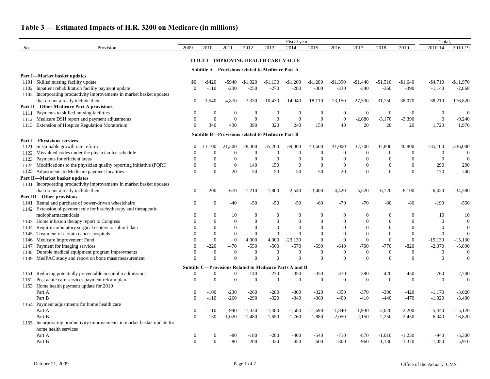|              |                                                                                               |                |                      |                      |                      |                                                         | Fiscal year                                                    |                      |                |                  |                  |                | Total.                      |                                  |
|--------------|-----------------------------------------------------------------------------------------------|----------------|----------------------|----------------------|----------------------|---------------------------------------------------------|----------------------------------------------------------------|----------------------|----------------|------------------|------------------|----------------|-----------------------------|----------------------------------|
| Sec.         | Provision                                                                                     | 2009           | 2010                 | 2011                 | 2012                 | 2013                                                    | 2014                                                           | 2015                 | 2016           | 2017             | 2018             | 2019           | 2010-14                     | 2010-19                          |
|              |                                                                                               |                |                      |                      |                      | <b>TITLE I-IMPROVING HEALTH CARE VALUE</b>              |                                                                |                      |                |                  |                  |                |                             |                                  |
|              |                                                                                               |                |                      |                      |                      | <b>Subtitle A-Provisions related to Medicare Part A</b> |                                                                |                      |                |                  |                  |                |                             |                                  |
|              | Part I-Market basket updates                                                                  |                |                      |                      |                      |                                                         |                                                                |                      |                |                  |                  |                |                             |                                  |
|              | 1101 Skilled nursing facility update                                                          |                | -\$420               | -\$940               | $-$1,020$            | $-$1,130$                                               | $-$1,200$                                                      | $-$1,280$            | $-$1,390$      | $-\$1,440$       | $-$1,510$        | $-\$1,640$     | $-$4,710$                   | $-$11,970$                       |
| 1102         | Inpatient rehabilitation facility payment update                                              |                | $-110$               | $-230$               | $-250$               | $-270$                                                  | $-280$                                                         | $-300$               | $-330$         | $-340$           | $-360$           | $-390$         | $-1,140$                    | $-2,860$                         |
|              | 1103 Incorporating productivity improvements in market basket updates                         |                |                      |                      |                      |                                                         |                                                                |                      |                |                  |                  |                |                             |                                  |
|              | that do not already include them                                                              | 0              | .540                 | $-4,870$             | $-7,330$             | $-10,430$                                               | $-14,040$                                                      | $-18,110$            | $-23,150$      | $-27,530$        | $-31,750$        | $-38,070$      | $-38,210$                   | $-176,820$                       |
|              | <b>Part II-Other Medicare Part A provisions</b>                                               |                |                      |                      |                      |                                                         |                                                                |                      |                |                  |                  |                |                             |                                  |
|              | 1111 Payments to skilled nursing facilities                                                   |                | $\Omega$             | $\Omega$             | $\theta$             | $\boldsymbol{0}$                                        |                                                                | $\theta$             |                | $\boldsymbol{0}$ | $\boldsymbol{0}$ | $\overline{0}$ | $\boldsymbol{0}$            | $\mathbf{0}$                     |
|              | 1112 Medicare DSH report and payment adjustments                                              |                | $\boldsymbol{0}$     | $\theta$             | $\overline{0}$       | $\overline{0}$                                          | $\boldsymbol{0}$                                               | $\mathbf{0}$         | $\bf{0}$       | $-2,680$         | $-3,170$         | $-3,390$       | $\boldsymbol{0}$            | $-9,240$                         |
|              | 1113 Extension of Hospice Regulation Moratorium                                               |                | 340                  | 430                  | 390                  | 320                                                     | 240                                                            | 150                  | 40             | 20               | 20               | 20             | 1,720                       | 1,970                            |
|              |                                                                                               |                |                      |                      |                      | <b>Subtitle B-Provisions related to Medicare Part B</b> |                                                                |                      |                |                  |                  |                |                             |                                  |
|              | <b>Part I-Physicians services</b>                                                             |                |                      |                      |                      |                                                         |                                                                |                      |                |                  |                  |                |                             |                                  |
|              | 1121 Sustainable growth rate reform                                                           |                | 11,100               | 21,500               | 28,300               | 35,200                                                  | 39,000                                                         | 43,600               | 41,000         | 37,700           | 37,800           | 40,800         | 135,100                     | 336,000                          |
|              | 1122 Misvalued codes under the physician fee schedule                                         |                | $\Omega$             | $\theta$             | $\Omega$             | $\overline{0}$                                          | $\boldsymbol{0}$                                               | $\boldsymbol{0}$     |                | $\theta$         | $\overline{0}$   | $\overline{0}$ | $\boldsymbol{0}$            | $\overline{0}$                   |
|              | 1123 Payments for efficient areas                                                             |                | $\Omega$             | $\Omega$             | $\theta$             | $\overline{0}$                                          | $\boldsymbol{0}$                                               | $\mathbf{0}$         |                |                  |                  | $\Omega$       | $\overline{0}$              | $\overline{0}$                   |
|              | 1124 Modifications to the physician quality reporting initiative (PQRI)                       |                | $\mathbf{0}$         | $\boldsymbol{0}$     | 140                  | 150                                                     | $\boldsymbol{0}$                                               | $\mathbf{0}$         | $\overline{0}$ | $\overline{0}$   |                  | $\Omega$       | 290                         | 290                              |
|              | 1125 Adjustments to Medicare payment localities                                               | 0              | $\Omega$             | 20                   | 50                   | 50                                                      | 50                                                             | 50                   | 20             | $\Omega$         | $\Omega$         | $\Omega$       | 170                         | 240                              |
|              | Part II-Market basket updates                                                                 |                |                      |                      |                      |                                                         |                                                                |                      |                |                  |                  |                |                             |                                  |
|              | 1131 Incorporating productivity improvements in market basket updates                         |                |                      |                      |                      |                                                         |                                                                |                      |                |                  |                  |                |                             |                                  |
|              | that do not already include them                                                              | 0              | $-200$               | $-670$               | $-1,210$             | $-1,800$                                                | $-2,540$                                                       | $-3,400$             | $-4,420$       | $-5,520$         | $-6,720$         | $-8,100$       | $-6,420$                    | $-34,580$                        |
|              | <b>Part III-Other provisions</b>                                                              |                |                      |                      |                      |                                                         |                                                                |                      |                |                  |                  |                |                             |                                  |
|              | 1141 Rental and purchase of power-driven wheelchairs                                          |                | $\overline{0}$       | -40                  | $-50$                | $-50$                                                   | $-50$                                                          | $-60$                | $-70$          | $-70$            | $-80$            | $-80$          | $-190$                      | $-550$                           |
| 1142         | Extension of payment rule for brachytherapy and therapeutic                                   |                |                      |                      |                      |                                                         |                                                                |                      |                |                  |                  |                |                             |                                  |
|              | radiopharmaceuticals                                                                          |                | $\overline{0}$       | 10                   | $\Omega$             | $\boldsymbol{0}$                                        | $\boldsymbol{0}$                                               | $\theta$             |                | $\theta$         | $\Omega$         | $\Omega$       | 10                          | 10                               |
| 1143         | Home infusion therapy report to Congress                                                      |                | $\boldsymbol{0}$     | $\Omega$             | $\Omega$             | $\overline{0}$                                          | $\theta$                                                       | $\theta$             |                |                  |                  | 0              | $\theta$                    | $\boldsymbol{0}$                 |
| 1144         | Require ambulatory surgical centers to submit data                                            |                | $\Omega$<br>$\Omega$ | $\Omega$<br>$\Omega$ | $\Omega$<br>$\theta$ | $\overline{0}$                                          | $\Omega$<br>$\Omega$                                           | $\Omega$<br>$\Omega$ |                |                  |                  |                | $\Omega$                    | $\mathbf{0}$<br>$\boldsymbol{0}$ |
| 1145         | Treatment of certain cancer hospitals<br>Medicare Improvement Fund                            |                | $\boldsymbol{0}$     | $\Omega$             | 4,000                | $\overline{0}$<br>4,000                                 | $-23,130$                                                      | $\theta$             | $\theta$       | $\theta$         | $\overline{0}$   | $\Omega$       | $\overline{0}$<br>$-15,130$ | $-15,130$                        |
| 1146<br>1147 | Payment for imaging services                                                                  |                | $-220$               | $-470$               | $-550$               | $-560$                                                  | $-570$                                                         | $-590$               | $-640$         | $-700$           | $-770$           | $-820$         | $-2,370$                    | $-5,890$                         |
| 1148         | Durable medical equipment program improvments                                                 |                | $\boldsymbol{0}$     | $\Omega$             | $\Omega$             | $\overline{0}$                                          | $\boldsymbol{0}$                                               | $\mathbf{0}$         |                | $\theta$         | $\Omega$         |                | $\Omega$                    | $\overline{0}$                   |
|              | 1149 MedPAC study and report on bone mass measurement                                         |                | $\Omega$             | 0                    | $\Omega$             | $\overline{0}$                                          | $\theta$                                                       | $\Omega$             |                | $\Omega$         | $\Omega$         | $\Omega$       | $\theta$                    | $\mathbf{0}$                     |
|              |                                                                                               |                |                      |                      |                      |                                                         |                                                                |                      |                |                  |                  |                |                             |                                  |
|              |                                                                                               |                |                      |                      |                      |                                                         | <b>Subtitle C-Provisions Related to Medicare Parts A and B</b> |                      |                |                  |                  |                |                             |                                  |
|              | 1151 Reducing potentially preventable hospital readmissions                                   | 0              | $\overline{0}$       | $\overline{0}$       | $-140$               | $-270$                                                  | $-350$                                                         | $-350$               | $-370$         | $-390$           | $-420$           | $-450$         | $-760$                      | $-2,740$                         |
|              | 1152 Post acute care services payment reform plan<br>1153 Home health payment update for 2010 | $\overline{0}$ | $\overline{0}$       | $\theta$             | $\overline{0}$       | $\overline{0}$                                          | $\overline{0}$                                                 | $\boldsymbol{0}$     | $\overline{0}$ | $\overline{0}$   | $\overline{0}$   | $\overline{0}$ | $\overline{0}$              | $\overline{0}$                   |
|              | Part A                                                                                        | $\Omega$       | $-100$               | $-230$               | $-260$               | $-280$                                                  | $-300$                                                         | $-320$               | $-350$         | $-370$           | $-390$           | $-420$         | $-1,170$                    | $-3,020$                         |
|              | Part B                                                                                        | 0              | $-110$               | $-260$               | $-290$               | $-320$                                                  | $-340$                                                         | $-360$               | $-400$         | $-410$           | $-440$           | $-470$         | $-1,320$                    | $-3,400$                         |
| 1154         | Payment adjustments for home health care                                                      |                |                      |                      |                      |                                                         |                                                                |                      |                |                  |                  |                |                             |                                  |
|              | Part A                                                                                        | $\overline{0}$ | $-110$               | $-940$               | $-1,330$             | $-1,480$                                                | $-1,580$                                                       | $-1,690$             | $-1,840$       | $-1,930$         | $-2,020$         | $-2,200$       | $-5,440$                    | $-15,120$                        |
|              | Part B                                                                                        | 0              | $-130$               | $-1,020$             | $-1,480$             | $-1,650$                                                | $-1,760$                                                       | $-1,880$             | $-2,050$       | $-2,150$         | $-2,250$         | $-2,450$       | $-6,040$                    | $-16,820$                        |
| 1155         | Incorporating productivity improvements in market basket update for                           |                |                      |                      |                      |                                                         |                                                                |                      |                |                  |                  |                |                             |                                  |
|              | home health services                                                                          |                |                      |                      |                      |                                                         |                                                                |                      |                |                  |                  |                |                             |                                  |
|              | Part A                                                                                        | $\overline{0}$ | $\boldsymbol{0}$     | $-80$                | $-180$               | $-280$                                                  | $-400$                                                         | $-540$               | $-710$         | $-870$           | $-1,010$         | $-1,230$       | $-940$                      | $-5,300$                         |
|              | Part B                                                                                        | $\overline{0}$ | $\boldsymbol{0}$     | $-80$                | $-200$               | $-320$                                                  | $-450$                                                         | $-600$               | $-800$         | $-960$           | $-1,130$         | $-1,370$       | $-1,050$                    | $-5,910$                         |
|              |                                                                                               |                |                      |                      |                      |                                                         |                                                                |                      |                |                  |                  |                |                             |                                  |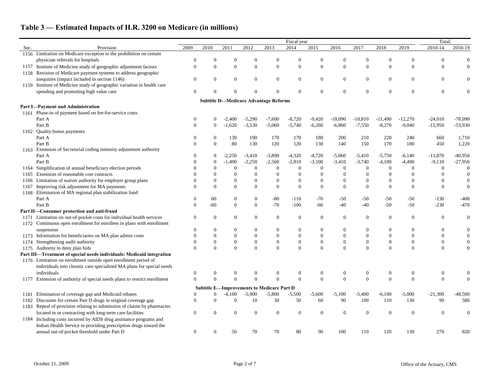|      |                                                                        |                  |                  |                  |                                                   |                  | Fiscal year      |                  |                  |                  |                  |                  | Total            |                  |
|------|------------------------------------------------------------------------|------------------|------------------|------------------|---------------------------------------------------|------------------|------------------|------------------|------------------|------------------|------------------|------------------|------------------|------------------|
| Sec. | Provision                                                              | 2009             | 2010             | 2011             | 2012                                              | 2013             | 2014             | 2015             | 2016             | 2017             | 2018             | 2019             | $2010 - 14$      | 2010-19          |
|      | 1156 Limitation on Medicare exception to the prohibition on certain    |                  |                  |                  |                                                   |                  |                  |                  |                  |                  |                  |                  |                  |                  |
|      | physician referrals for hospitals                                      | $\Omega$         |                  |                  | $\Omega$                                          | $\Omega$         | 0                | $\Omega$         |                  | $\theta$         | $\Omega$         | $\theta$         | $\Omega$         | $\overline{0}$   |
| 1157 | Institute of Medicine study of geographic adjustment factors           | $\theta$         | $\boldsymbol{0}$ | $\overline{0}$   | $\overline{0}$                                    | $\theta$         | $\boldsymbol{0}$ | $\overline{0}$   | $\theta$         | $\boldsymbol{0}$ | $\mathbf{0}$     | $\overline{0}$   | $\overline{0}$   | $\boldsymbol{0}$ |
|      | 1158 Revision of Medicare payment systems to address geographic        |                  |                  |                  |                                                   |                  |                  |                  |                  |                  |                  |                  |                  |                  |
|      | inequities (impact included in section 1146)                           | $\overline{0}$   | $\boldsymbol{0}$ | $\overline{0}$   | $\overline{0}$                                    | $\boldsymbol{0}$ | $\boldsymbol{0}$ | $\boldsymbol{0}$ | $\mathbf{0}$     | $\overline{0}$   | $\mathbf{0}$     | $\overline{0}$   | $\mathbf{0}$     |                  |
| 1159 | Institute of Medicine study of geographic variation in health care     |                  |                  |                  |                                                   |                  |                  |                  |                  |                  |                  |                  |                  |                  |
|      | spending and promoting high value care                                 | $\Omega$         |                  |                  |                                                   | $\Omega$         | $\theta$         | $\Omega$         | $\Omega$         | $\overline{0}$   | $\theta$         | $\Omega$         | $\overline{0}$   |                  |
|      |                                                                        |                  |                  |                  | <b>Subtitle D-Medicare Advantage Reforms</b>      |                  |                  |                  |                  |                  |                  |                  |                  |                  |
|      | Part I-Payment and Administration                                      |                  |                  |                  |                                                   |                  |                  |                  |                  |                  |                  |                  |                  |                  |
| 1161 | Phase-in of payment based on fee-for-service costs                     |                  |                  |                  |                                                   |                  |                  |                  |                  |                  |                  |                  |                  |                  |
|      | Part A                                                                 | $\Omega$         |                  | $-2,400$         | $-5,290$                                          | $-7,600$         | $-8,720$         | $-9,420$         | $-10,090$        | $-10,810$        | $-11,490$        | $-12,270$        | $-24,010$        | $-78,090$        |
|      | Part B                                                                 | $\Omega$         |                  | $-1,620$         | $-3,530$                                          | $-5,060$         | $-5,740$         | $-6,260$         | $-6,860$         | $-7,550$         | $-8,270$         | $-9,040$         | $-15,950$        | $-53,930$        |
| 1162 | Quality bonus payments                                                 |                  |                  |                  |                                                   |                  |                  |                  |                  |                  |                  |                  |                  |                  |
|      | Part A                                                                 | $\Omega$         |                  | 130              | 190                                               | 170              | 170              | 180              | 200              | 210              | 220              | 240              | 660              | 1,710            |
|      | Part B                                                                 | $\Omega$         | $\mathbf{0}$     | 80               | 130                                               | 120              | 120              | 130              | 140              | 150              | 170              | 180              | 450              | 1,220            |
| 1163 | Extension of Secretarial coding intensity adjustment authority         |                  |                  |                  |                                                   |                  |                  |                  |                  |                  |                  |                  |                  |                  |
|      | Part A                                                                 | $\Omega$         |                  | $-2,250$         | $-3,410$                                          | $-3,890$         | $-4,320$         | $-4,720$         | $-5,060$         | $-5,410$         | $-5,750$         | $-6,140$         | $-13,870$        | $-40,950$        |
|      | Part B                                                                 |                  | $\boldsymbol{0}$ | $-1,490$         | $-2,250$                                          | $-2,560$         | $-2,810$         | $-3,100$         | $-3,410$         | $-3,740$         | $-4,100$         | $-4,490$         | $-9,110$         | $-27,950$        |
|      | Simplification of annual beneficiary election periods                  |                  |                  | $\theta$         | $\overline{0}$                                    | $\boldsymbol{0}$ | $\boldsymbol{0}$ | $\boldsymbol{0}$ |                  | $\theta$         | $\overline{0}$   | $\theta$         | $\theta$         | $\mathbf{0}$     |
| 1165 | Extension of reasonable cost contracts                                 |                  |                  |                  |                                                   | $\boldsymbol{0}$ | $\overline{0}$   | $\theta$         |                  | $\Omega$         |                  | $\overline{0}$   |                  | $\boldsymbol{0}$ |
| 1166 | Limitation of waiver authority for employer group plans                |                  | $\theta$         | $\overline{0}$   | $\theta$                                          | $\boldsymbol{0}$ | $\boldsymbol{0}$ | $\overline{0}$   | $\overline{0}$   | $\overline{0}$   |                  | $\Omega$         |                  | $\boldsymbol{0}$ |
| 1167 | Improving risk adjustment for MA payments                              | $\Omega$         | $\Omega$         | $\Omega$         | $\Omega$                                          | $\Omega$         | $\boldsymbol{0}$ | $\mathbf{0}$     | $\Omega$         | $\Omega$         | $\Omega$         | $\Omega$         | $\theta$         | $\boldsymbol{0}$ |
| 1168 | Elimination of MA regional plan stabilization fund                     |                  |                  |                  |                                                   |                  |                  |                  |                  |                  |                  |                  |                  |                  |
|      | Part A                                                                 | 0                | 60               | $\mathbf{0}$     | $\boldsymbol{0}$                                  | $-80$            | $-110$           | $-70$            | $-50$            | $-50$            | $-50$            | $-50$            | $-130$           | $-400$           |
|      | Part B                                                                 | $\Omega$         | $-60$            | $\Omega$         | $\boldsymbol{0}$                                  | $-70$            | $-100$           | $-60$            | $-40$            | $-40$            | $-50$            | $-50$            | $-230$           | $-470$           |
|      | Part II-Consumer protection and anti-fraud                             |                  |                  |                  |                                                   |                  |                  |                  |                  |                  |                  |                  |                  |                  |
| 1171 | Limitation on out-of-pocket costs for individual health services       | $\overline{0}$   | $\boldsymbol{0}$ | $\overline{0}$   | $\Omega$                                          | $\theta$         | $\overline{0}$   | $\boldsymbol{0}$ | $\Omega$         | $\overline{0}$   | $\theta$         | $\overline{0}$   | $\overline{0}$   | $\overline{0}$   |
|      | 1172 Continuous open enrollment for enrollees in plans with enrollment |                  |                  |                  |                                                   |                  |                  |                  |                  |                  |                  |                  |                  |                  |
|      | suspension                                                             | $\Omega$         | $\boldsymbol{0}$ | 0                | $\Omega$                                          | $\Omega$         | $\mathbf{0}$     | $\boldsymbol{0}$ | $\theta$         | $\Omega$         | 0                | $\overline{0}$   | $\Omega$         | $\boldsymbol{0}$ |
|      | 1173 Information for beneficiaries on MA plan admin costs              | $\Omega$         | $\overline{0}$   |                  | $\Omega$                                          | $\theta$         | $\mathbf{0}$     | $\boldsymbol{0}$ | $\theta$         | $\theta$         |                  | $\overline{0}$   | $\Omega$         | $\boldsymbol{0}$ |
| 1174 | Strengthening audit authority                                          | $\Omega$         | $\boldsymbol{0}$ | $\boldsymbol{0}$ | $\theta$                                          | $\boldsymbol{0}$ | $\boldsymbol{0}$ | $\boldsymbol{0}$ | $\boldsymbol{0}$ | $\boldsymbol{0}$ | $\boldsymbol{0}$ | $\boldsymbol{0}$ | $\boldsymbol{0}$ | $\boldsymbol{0}$ |
|      | 1175 Authority to deny plan bids                                       | $\Omega$         | $\mathbf{0}$     | $\Omega$         | $\Omega$                                          | $\Omega$         | $\mathbf{0}$     | $\mathbf{0}$     | $\Omega$         | $\boldsymbol{0}$ | $\theta$         | $\Omega$         | $\boldsymbol{0}$ |                  |
|      | Part III—Treatment of special needs individuals: Medicaid integration  |                  |                  |                  |                                                   |                  |                  |                  |                  |                  |                  |                  |                  |                  |
|      | 1176 Limitation on enrollment outside open enrollment period of        |                  |                  |                  |                                                   |                  |                  |                  |                  |                  |                  |                  |                  |                  |
|      | individuals into chronic care specialized MA plans for special needs   |                  |                  |                  |                                                   |                  |                  |                  |                  |                  |                  |                  |                  |                  |
|      | individuals                                                            | $\theta$         | $\theta$         | $\overline{0}$   | $\theta$                                          | $\overline{0}$   | $\boldsymbol{0}$ | $\mathbf{0}$     | $\theta$         | $\overline{0}$   | $\overline{0}$   | $\theta$         | $\overline{0}$   | $\boldsymbol{0}$ |
| 1177 | Extension of authority of special needs plans to restrict enrollment   | $\Omega$         | $\overline{0}$   | $\Omega$         | $\theta$                                          | $\Omega$         | $\mathbf{0}$     | $\mathbf{0}$     | $\mathbf{0}$     | $\mathbf{0}$     | $\overline{0}$   | $\mathbf{0}$     | $\boldsymbol{0}$ | $\boldsymbol{0}$ |
|      |                                                                        |                  |                  |                  | <b>Subtitle E-Improvements to Medicare Part D</b> |                  |                  |                  |                  |                  |                  |                  |                  |                  |
| 1181 | Elimination of coverage gap and Medicaid rebates                       | $\Omega$         | $\overline{0}$   | $-4,100$         | $-5,900$                                          | $-5,800$         | $-5,500$         | $-5,600$         | $-5,100$         | $-5,400$         | $-6,100$         | $-5,000$         | $-21,300$        | $-48,500$        |
| 1182 | Discounts for certain Part D drugs in original coverage gap            | $\overline{0}$   | $\theta$         | $\overline{0}$   | 10                                                | 30               | 50               | 60               | 90               | 100              | 110              | 130              | 90               | 580              |
| 1183 | Repeal of provision relating to submission of claims by pharmacies     |                  |                  |                  |                                                   |                  |                  |                  |                  |                  |                  |                  |                  |                  |
|      | located in or contracting with long-term care facilities               | $\mathbf{0}$     | $\overline{0}$   | $\Omega$         | $\boldsymbol{0}$                                  | $\boldsymbol{0}$ | $\boldsymbol{0}$ | $\mathbf{0}$     | $\mathbf{0}$     | $\mathbf{0}$     | $\mathbf{0}$     | $\overline{0}$   | $\boldsymbol{0}$ | $\mathbf{0}$     |
|      | 1184 Including costs incurred by AIDS drug assistance programs and     |                  |                  |                  |                                                   |                  |                  |                  |                  |                  |                  |                  |                  |                  |
|      | Indian Health Service in providing prescription drugs toward the       |                  |                  |                  |                                                   |                  |                  |                  |                  |                  |                  |                  |                  |                  |
|      | annual out-of-pocket threshold under Part D                            | $\boldsymbol{0}$ | $\boldsymbol{0}$ | 50               | 70                                                | 70               | 80               | 90               | 100              | 110              | 120              | 130              | 270              | 820              |
|      |                                                                        |                  |                  |                  |                                                   |                  |                  |                  |                  |                  |                  |                  |                  |                  |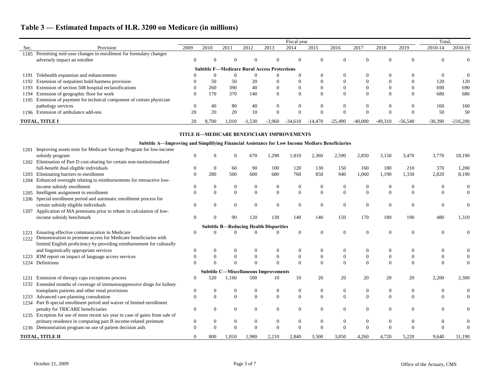|       |                                                                        |      |          |          |          |                                                     | Fiscal year |          |           |           |           |           | Total.    |                |
|-------|------------------------------------------------------------------------|------|----------|----------|----------|-----------------------------------------------------|-------------|----------|-----------|-----------|-----------|-----------|-----------|----------------|
| Sec.  | Provision                                                              | 2009 | 2010     | 2011     | 2012     | 2013                                                | 2014        | 2015     | 2016      | 2017      | 2018      | 2019      | 2010-14   | 2010-19        |
| 1185  | Permitting mid-year changes in enrollment for formulary changes        |      |          |          |          |                                                     |             |          |           |           |           |           |           |                |
|       | adversely impact an enrollee                                           |      | $\theta$ |          |          | $\Omega$                                            | 0           |          |           | $\theta$  | $\theta$  |           | $\left($  | $\Omega$       |
|       |                                                                        |      |          |          |          | <b>Subtitle F-Medicare Rural Access Protections</b> |             |          |           |           |           |           |           |                |
| 1191  | Telehealth expansion and enhancements                                  |      | $\theta$ | $\theta$ |          | $\left($                                            |             |          |           | $\theta$  |           |           | $\Omega$  | $\overline{0}$ |
|       | 1192 Extension of outpatient hold-harmess provision                    |      | 50       | 50       | 20       | $\left($                                            | $\Omega$    |          |           |           |           |           | 120       | 120            |
|       | 1193 Extension of section 508 hospital reclassifications               |      | 260      | 390      | 40       | $\Omega$                                            | $\Omega$    |          |           | 0         |           |           | 690       | 690            |
|       | 1194 Extension of geographic floor for work                            |      | 170      | 370      | 140      | $\Omega$                                            | $\Omega$    |          | $\Omega$  | $\Omega$  | $\theta$  |           | 680       | 680            |
|       | 1195 Extension of payment for technical component of certain physician |      |          |          |          |                                                     |             |          |           |           |           |           |           |                |
|       | pathology services                                                     |      | 40       | 80       | 40       | $\Omega$                                            | $\theta$    |          | $\left($  | $\Omega$  | $\Omega$  |           | 160       | 160            |
| 1196- | Extension of ambulance add-ons                                         | 20   | 20       | 20       | 10       | $\Omega$                                            | $\Omega$    | $\Omega$ | $\Omega$  | $\Omega$  | $\Omega$  |           | 50        | 50             |
|       | <b>TOTAL, TITLE I</b>                                                  | 20   | 8.700    | 1.010    | $-1,530$ | $-3.960$                                            | $-34.610$   | -14.470  | $-25,490$ | $-40,000$ | $-49,310$ | $-56,540$ | $-30,390$ | $-216,200$     |

#### **TITLE II—MEDICARE BENEFICIARY IMPROVEMENTS**

### **Subtitle A—Improving and Simplifying Financial Assistance for Low Income Mediare Beneficiaries**

| 1201 | Improving assets tests for Medicare Savings Program for low-income           |          |                  |          |          |                                               |                  |                |                  |                |                |          |       |                |
|------|------------------------------------------------------------------------------|----------|------------------|----------|----------|-----------------------------------------------|------------------|----------------|------------------|----------------|----------------|----------|-------|----------------|
|      | subsidy program                                                              |          |                  | $\Omega$ | 670      | 1,290                                         | 1,810            | 2,360          | 2,590            | 2,850          | 3,150          | 3,470    | 3,770 | 18,190         |
| 1202 | Elimination of Part D cost-sharing for certain non-institutionalized         |          |                  |          |          |                                               |                  |                |                  |                |                |          |       |                |
|      | full-benefit dual eligible individuals                                       |          | $\overline{0}$   | 60       | 90       | 100                                           | 120              | 130            | 150              | 160            | 180            | 210      | 370   | 1,200          |
| 1203 | Eliminating barriers to enrollment                                           |          | 280              | 500      | 600      | 680                                           | 760              | 850            | 940              | 1,060          | 1,190          | 1,330    | 2,820 | 8,190          |
| 1204 | Enhanced oversight relating to reimbursements for retroactive low-           |          |                  |          |          |                                               |                  |                |                  |                |                |          |       |                |
|      | income subsidy enrollment                                                    |          | $\Omega$         | $\Omega$ |          | $\theta$                                      | $\theta$         |                |                  |                |                | $\Omega$ |       | $\overline{0}$ |
| 1205 | Intelligent assignment in enrollment                                         |          | $\mathbf{0}$     | $\theta$ | $\Omega$ | $\boldsymbol{0}$                              | $\boldsymbol{0}$ | $\Omega$       | $\Omega$         | $\overline{0}$ | $\Omega$       | $\theta$ |       |                |
| 1206 | Special enrollment period and automatic enrollment process for               |          |                  |          |          |                                               |                  |                |                  |                |                |          |       |                |
|      | certain subsidy eligible individuals                                         |          | $\Omega$         | $\Omega$ | 0        | $\Omega$                                      | $\Omega$         | $\theta$       | $\Omega$         | $\Omega$       | $\theta$       | $\Omega$ | 0     |                |
| 1207 | Application of MA premiums prior to rebate in calculation of low-            |          |                  |          |          |                                               |                  |                |                  |                |                |          |       |                |
|      | income subsidy benchmark                                                     |          |                  | 90       | 120      | 130                                           | 140              | 140            | 150              | 170            | 180            | 190      | 480   | 1,310          |
|      |                                                                              |          |                  |          |          | <b>Subtitle B-Reducing Health Disparities</b> |                  |                |                  |                |                |          |       |                |
| 1221 | Ensuring effective communication in Medicare                                 |          |                  |          |          |                                               | $\Omega$         | $\Omega$       | $\Omega$         |                |                | $\Omega$ | 0     |                |
| 1222 | Demonstration to promote access for Medicare beneficiaries with              |          |                  |          |          |                                               |                  |                |                  |                |                |          |       |                |
|      | limited English proficiency by providing reimbursement for culturally        |          |                  |          |          |                                               |                  |                |                  |                |                |          |       |                |
|      | and linguistically appropriate services                                      |          | $\Omega$         |          |          |                                               | $\theta$         |                |                  |                |                |          |       |                |
|      | IOM report on impact of language access services                             |          | $\theta$         | $\Omega$ |          | $\Omega$                                      | $\overline{0}$   | $\theta$       | $\Omega$         |                |                | $\Omega$ |       |                |
| 1224 | Definitions                                                                  |          | $\Omega$         | $\Omega$ |          | $\Omega$                                      | $\Omega$         | $\Omega$       | $\Omega$         | $\Omega$       |                | $\Omega$ |       |                |
|      |                                                                              |          |                  |          |          | <b>Subtitle C-Miscellaneous Improvements</b>  |                  |                |                  |                |                |          |       |                |
| 1231 | Extension of therapy caps exceptions process                                 |          | 520              | .160     | 500      | 10                                            | 10               | 20             | 20               | 20             | 20             | 20       | 2,200 | 2,300          |
| 1232 | Extended months of coverage of immunosuppressive drugs for kidney            |          |                  |          |          |                                               |                  |                |                  |                |                |          |       |                |
|      | transplants patients and other renal provisions                              |          | $\boldsymbol{0}$ | $\Omega$ | $\theta$ | $\boldsymbol{0}$                              | $\mathbf{0}$     | $\overline{0}$ | $\boldsymbol{0}$ | $\overline{0}$ | $\overline{0}$ | $\Omega$ | 0     | $\overline{0}$ |
| 1233 | Advanced care planning consultation                                          |          | $\Omega$         | $\theta$ | $\Omega$ | $\boldsymbol{0}$                              | $\overline{0}$   | $\Omega$       | $\Omega$         | $\theta$       | $\Omega$       | $\Omega$ |       |                |
|      | 1234 Part B special enrollment period and waiver of limited enrollment       |          |                  |          |          |                                               |                  |                |                  |                |                |          |       |                |
|      | penalty for TRICARE beneficiaries                                            | $\Omega$ | $\Omega$         | $\Omega$ |          | $\theta$                                      | $\overline{0}$   | $\theta$       | $\Omega$         | $\Omega$       | $\Omega$       | $\Omega$ | 0     |                |
|      | 1235 Exception for use of more recent tax year in case of gains from sale of |          |                  |          |          |                                               |                  |                |                  |                |                |          |       |                |
|      | primary residence in computing part B income-related preimum                 |          | $\boldsymbol{0}$ | $\Omega$ | $\theta$ | $\boldsymbol{0}$                              | $\mathbf{0}$     | $\overline{0}$ | $\Omega$         | 0              | $\Omega$       | $\Omega$ |       |                |
|      | 1236 Demonstration program on use of patient decision aids                   |          | $\Omega$         | $\Omega$ |          | $\Omega$                                      | $\Omega$         |                |                  |                |                |          |       | $\Omega$       |
|      | TOTAL, TITLE II                                                              |          | 800              | 1,810    | 1,980    | 2,210                                         | 2,840            | 3,500          | 3,850            | 4,260          | 4,720          | 5,220    | 9,640 | 31,190         |
|      |                                                                              |          |                  |          |          |                                               |                  |                |                  |                |                |          |       |                |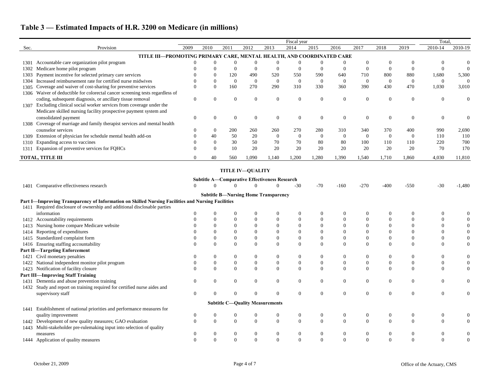|      |                                                                                                   |                |                  |                  |                                        |                                                      | Fiscal year      |                  |                  |                |                  |                  | Total.           |                  |
|------|---------------------------------------------------------------------------------------------------|----------------|------------------|------------------|----------------------------------------|------------------------------------------------------|------------------|------------------|------------------|----------------|------------------|------------------|------------------|------------------|
| Sec. | Provision                                                                                         | 2009           | 2010             | 2011             | 2012                                   | 2013                                                 | 2014             | 2015             | 2016             | 2017           | 2018             | 2019             | 2010-14          | 2010-19          |
|      | TITLE III-PROMOTING PRIMARY CARE, MENTAL HEALTH, AND COORDINATED CARE                             |                |                  |                  |                                        |                                                      |                  |                  |                  |                |                  |                  |                  |                  |
|      | 1301 Accountable care organization pilot program                                                  |                | $\boldsymbol{0}$ | $\theta$         | $\Omega$                               |                                                      | $\overline{0}$   | $\boldsymbol{0}$ |                  | $\Omega$       | $\theta$         |                  | $\theta$         |                  |
| 1302 | Medicare home pilot program                                                                       |                | $\Omega$         | $\theta$         | $\overline{0}$                         | $\overline{0}$                                       | $\overline{0}$   | $\overline{0}$   | $\overline{0}$   | $\theta$       | $\Omega$         | $\theta$         | $\overline{0}$   | $\boldsymbol{0}$ |
| 1303 | Payment incentive for selected primary care services                                              |                | $\boldsymbol{0}$ | 120              | 490                                    | 520                                                  | 550              | 590              | 640              | 710            | 800              | 880              | 1,680            | 5,300            |
| 1304 | Increased reimbursement rate for certified nurse midwives                                         | $\Omega$       | $\boldsymbol{0}$ | $\overline{0}$   | $\boldsymbol{0}$                       | $\overline{0}$                                       | $\overline{0}$   | $\overline{0}$   | $\mathbf{0}$     | $\overline{0}$ | $\overline{0}$   | $\mathbf{0}$     | $\mathbf{0}$     | $\boldsymbol{0}$ |
| 1305 | Coverage and waiver of cost-sharing for preventive services                                       | $\Omega$       | $\mathbf{0}$     | 160              | 270                                    | 290                                                  | 310              | 330              | 360              | 390            | 430              | 470              | 1,030            | 3,010            |
|      | 1306 Waiver of deductible for colorectal cancer screening tests regardless of                     |                |                  |                  |                                        |                                                      |                  |                  |                  |                |                  |                  |                  |                  |
|      | coding, subsequent diagnosis, or ancillary tissue removal                                         | $\overline{0}$ | $\boldsymbol{0}$ | $\theta$         | $\overline{0}$                         | $\overline{0}$                                       | $\boldsymbol{0}$ | $\boldsymbol{0}$ | $\boldsymbol{0}$ | $\overline{0}$ | $\boldsymbol{0}$ | $\overline{0}$   | $\overline{0}$   |                  |
| 1307 | Excluding clinical social worker services from coverage under the                                 |                |                  |                  |                                        |                                                      |                  |                  |                  |                |                  |                  |                  |                  |
|      | Medicare skilled nursing facility prospective payment system and                                  |                |                  |                  |                                        |                                                      |                  |                  |                  |                |                  |                  |                  |                  |
|      | consolidated payment                                                                              | $\overline{0}$ | $\theta$         | $\theta$         | $\overline{0}$                         | $\theta$                                             | $\overline{0}$   | $\boldsymbol{0}$ | $\mathbf{0}$     | $\Omega$       | $\overline{0}$   | $\overline{0}$   | $\overline{0}$   | $\theta$         |
|      | 1308 Coverage of marriage and family therapist services and mental health                         |                |                  |                  |                                        |                                                      |                  |                  |                  |                |                  |                  |                  |                  |
|      | counselor services                                                                                | 0              | $\boldsymbol{0}$ | 200              | 260                                    | 260                                                  | 270              | 280              | 310              | 340            | 370              | 400              | 990              | 2,690            |
|      | 1309 Extension of physician fee schedule mental health add-on                                     |                | 40               | 50               | 20                                     | $\overline{0}$                                       | $\overline{0}$   | $\boldsymbol{0}$ | $\boldsymbol{0}$ | $\overline{0}$ | $\mathbf{0}$     | $\boldsymbol{0}$ | 110              | 110              |
| 1310 | Expanding access to vaccines                                                                      | 0              | $\boldsymbol{0}$ | 30               | 50                                     | 70                                                   | 70               | 80               | 80               | 100            | 110              | 110              | 220              | 700              |
|      | 1311 Expansion of preventive services for FQHCs                                                   | $\Omega$       | $\boldsymbol{0}$ | 10               | 20                                     | 20                                                   | 20               | 20               | 20               | 20             | 20               | 20               | 70               | 170              |
|      | <b>TOTAL, TITLE III</b>                                                                           | 0              | 40               | 560              | 1,090                                  | 1,140                                                | 1,200            | 1,280            | 1,390            | 1,540          | 1,710            | 1,860            | 4,030            | 11,810           |
|      |                                                                                                   |                |                  |                  |                                        |                                                      |                  |                  |                  |                |                  |                  |                  |                  |
|      |                                                                                                   |                |                  |                  | <b>TITLE IV-QUALITY</b>                |                                                      |                  |                  |                  |                |                  |                  |                  |                  |
|      |                                                                                                   |                |                  |                  |                                        | <b>Subtitle A-Comparative Effectiveness Research</b> |                  |                  |                  |                |                  |                  |                  |                  |
|      | 1401 Comparative effectiveness research                                                           |                | $\Omega$         |                  | $\Omega$                               |                                                      | $-30$            | $-70$            | $-160$           | $-270$         | $-400$           | $-550$           | $-30$            | $-1,480$         |
|      |                                                                                                   |                |                  |                  |                                        | <b>Subtitle B-Nursing Home Transparency</b>          |                  |                  |                  |                |                  |                  |                  |                  |
|      | Part I-Improving Transparency of Information on Skilled Nursing Facilities and Nursing Facilities |                |                  |                  |                                        |                                                      |                  |                  |                  |                |                  |                  |                  |                  |
|      | 1411 Required disclosure of ownership and additional disclosable parties                          |                |                  |                  |                                        |                                                      |                  |                  |                  |                |                  |                  |                  |                  |
|      | information                                                                                       |                |                  | $\theta$         | $\theta$                               | $\theta$                                             | $\boldsymbol{0}$ | $\boldsymbol{0}$ |                  |                |                  |                  |                  |                  |
| 1412 | Accountability requirements                                                                       |                |                  | $\mathbf{0}$     | $\theta$                               | $\overline{0}$                                       | $\overline{0}$   | $\boldsymbol{0}$ | $\mathbf{0}$     |                |                  |                  |                  |                  |
| 1413 | Nursing home compare Medicare website                                                             |                |                  | $\overline{0}$   | $\mathbf{0}$                           | $\overline{0}$                                       | $\overline{0}$   | $\boldsymbol{0}$ | $\mathbf{0}$     | $\overline{0}$ | 0                |                  |                  |                  |
| 1414 | Reporting of expenditures                                                                         |                |                  | $\overline{0}$   | $\Omega$                               | $\overline{0}$                                       | $\overline{0}$   | $\mathbf{0}$     | $\mathbf{0}$     | $\Omega$       | 0                |                  |                  |                  |
| 1415 | Standardized complaint form                                                                       |                | $\boldsymbol{0}$ | $\boldsymbol{0}$ | $\overline{0}$                         | $\overline{0}$                                       | $\overline{0}$   | $\boldsymbol{0}$ | $\boldsymbol{0}$ | $\overline{0}$ | 0                | $\overline{0}$   | 0                |                  |
|      | 1416 Ensuring staffing accountability                                                             |                | $\Omega$         | $\Omega$         | $\Omega$                               | $\Omega$                                             | $\theta$         | $\overline{0}$   | $\Omega$         | $\Omega$       | $\Omega$         | $\Omega$         | 0                | $\overline{0}$   |
|      | <b>Part II-Targeting Enforcement</b>                                                              |                |                  |                  |                                        |                                                      |                  |                  |                  |                |                  |                  |                  |                  |
|      | 1421 Civil monetary penalties                                                                     | $\overline{0}$ | $\overline{0}$   | $\Omega$         | $\mathbf{0}$                           | $\overline{0}$                                       | $\mathbf{0}$     | $\boldsymbol{0}$ | $\boldsymbol{0}$ | $\Omega$       | $\boldsymbol{0}$ | $\theta$         | $\theta$         |                  |
| 1422 | National independent monitor pilot program                                                        |                |                  |                  |                                        |                                                      |                  | $\Omega$         | 0                |                |                  | $\theta$         | $\Omega$         |                  |
| 1423 | Notification of facility closure                                                                  | $\Omega$       | $\theta$         | $\theta$         | $\mathbf{0}$                           | $\overline{0}$                                       | $\mathbf{0}$     | $\boldsymbol{0}$ | $\boldsymbol{0}$ | $\overline{0}$ | $\overline{0}$   | $\boldsymbol{0}$ | $\Omega$         |                  |
|      | <b>Part III-Improving Staff Training</b>                                                          |                |                  |                  |                                        |                                                      |                  |                  |                  |                |                  |                  |                  |                  |
|      | 1431 Dementia and abuse prevention training                                                       | $\overline{0}$ | $\boldsymbol{0}$ | $\overline{0}$   | $\mathbf{0}$                           | $\overline{0}$                                       | $\boldsymbol{0}$ | $\boldsymbol{0}$ | $\overline{0}$   | $\overline{0}$ | $\boldsymbol{0}$ | $\boldsymbol{0}$ | $\overline{0}$   | $\boldsymbol{0}$ |
| 1432 | Study and report on training required for certified nurse aides and                               |                |                  |                  |                                        |                                                      |                  |                  |                  |                |                  |                  |                  |                  |
|      | supervisory staff                                                                                 | $\mathbf{0}$   | $\boldsymbol{0}$ | $\overline{0}$   | $\mathbf{0}$                           | $\boldsymbol{0}$                                     | $\mathbf{0}$     | $\boldsymbol{0}$ | $\overline{0}$   | $\overline{0}$ | $\boldsymbol{0}$ | $\boldsymbol{0}$ | $\boldsymbol{0}$ | $\boldsymbol{0}$ |
|      |                                                                                                   |                |                  |                  | <b>Subtitle C-Quality Measurements</b> |                                                      |                  |                  |                  |                |                  |                  |                  |                  |
| 1441 | Establishment of national priorities and performance measures for                                 |                |                  |                  |                                        |                                                      |                  |                  |                  |                |                  |                  |                  |                  |
|      | quality improvement                                                                               | $\theta$       | $\boldsymbol{0}$ |                  |                                        |                                                      | $\overline{0}$   | $\boldsymbol{0}$ | 0                | $\overline{0}$ | $\boldsymbol{0}$ | 0                | $\theta$         |                  |
|      | 1442 Development of new quality measures; GAO evaluation                                          | $\Omega$       | $\boldsymbol{0}$ | $\Omega$         | $\Omega$                               | $\theta$                                             | $\mathbf{0}$     | $\boldsymbol{0}$ | $\overline{0}$   | $\overline{0}$ | $\mathbf{0}$     | $\overline{0}$   |                  | $\boldsymbol{0}$ |
| 1443 | Multi-stakeholder pre-rulemaking input into selection of quality                                  |                |                  |                  |                                        |                                                      |                  |                  |                  |                |                  |                  |                  |                  |
|      | measures                                                                                          | $\theta$       | $\boldsymbol{0}$ | $\overline{0}$   | $\overline{0}$                         | $\boldsymbol{0}$                                     | $\boldsymbol{0}$ | $\boldsymbol{0}$ | $\mathbf{0}$     | $\overline{0}$ | $\boldsymbol{0}$ | $\boldsymbol{0}$ | $\boldsymbol{0}$ | $\boldsymbol{0}$ |
|      | 1444 Application of quality measures                                                              |                | $\mathbf{0}$     | $\Omega$         | $\Omega$                               | $\Omega$                                             | $\overline{0}$   | $\mathbf{0}$     | $\overline{0}$   | $\Omega$       | $\theta$         | $\overline{0}$   | $\Omega$         |                  |
|      |                                                                                                   |                |                  |                  |                                        |                                                      |                  |                  |                  |                |                  |                  |                  |                  |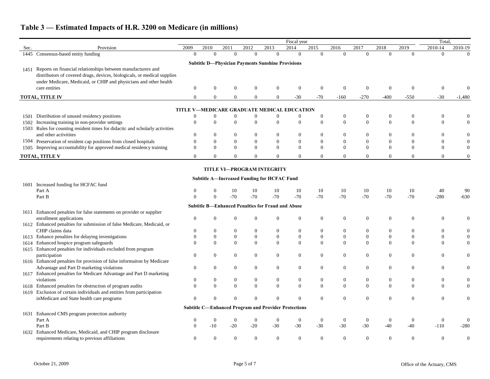|      |                                                                                                                                       |                      |                                    |                                    |                          |                                                             | Fiscal year                        |                                    |                            |                      |                                  |                            | Total.               |                                  |
|------|---------------------------------------------------------------------------------------------------------------------------------------|----------------------|------------------------------------|------------------------------------|--------------------------|-------------------------------------------------------------|------------------------------------|------------------------------------|----------------------------|----------------------|----------------------------------|----------------------------|----------------------|----------------------------------|
| Sec. | Provision                                                                                                                             | 2009                 | 2010                               | 2011                               | 2012                     | 2013                                                        | 2014                               | 2015                               | 2016                       | 2017                 | 2018                             | 2019                       | 2010-14              | 2010-19                          |
|      | 1445 Consensus-based entity funding                                                                                                   | $\Omega$             | $\theta$                           | $\Omega$                           | $\Omega$                 | $\overline{0}$                                              | $\overline{0}$                     | $\Omega$                           | $\theta$                   | $\overline{0}$       | $\theta$                         | $\Omega$                   | $\overline{0}$       | $\Omega$                         |
|      |                                                                                                                                       |                      |                                    |                                    |                          | <b>Subtitle D-Physician Payments Sunshine Provisions</b>    |                                    |                                    |                            |                      |                                  |                            |                      |                                  |
| 1451 | Reports on financial relationships between manufacturers and                                                                          |                      |                                    |                                    |                          |                                                             |                                    |                                    |                            |                      |                                  |                            |                      |                                  |
|      | distributors of covered drugs, devices, biologicals, or medical supplies                                                              |                      |                                    |                                    |                          |                                                             |                                    |                                    |                            |                      |                                  |                            |                      |                                  |
|      | under Medicare, Medicaid, or CHIP and physicians and other health                                                                     |                      |                                    |                                    |                          |                                                             |                                    |                                    |                            |                      |                                  |                            |                      |                                  |
|      | care entities                                                                                                                         | $\Omega$             | $\overline{0}$                     | $\theta$                           | $\overline{0}$           | $\overline{0}$                                              | $\boldsymbol{0}$                   | $\theta$                           | $\theta$                   | $\overline{0}$       | $\Omega$                         | $\Omega$                   | $\overline{0}$       |                                  |
|      | TOTAL, TITLE IV                                                                                                                       | $\Omega$             | $\overline{0}$                     | $\Omega$                           | 0                        | $\overline{0}$                                              | $-30$                              | $-70$                              | $-160$                     | $-270$               | $-400$                           | $-550$                     | $-30$                | $-1,480$                         |
|      |                                                                                                                                       |                      |                                    |                                    |                          |                                                             |                                    |                                    |                            |                      |                                  |                            |                      |                                  |
|      |                                                                                                                                       |                      |                                    |                                    |                          | TITLE V-MEDICARE GRADUATE MEDICAL EDUCATION                 |                                    |                                    |                            |                      |                                  |                            |                      |                                  |
| 1501 | Distribution of unused residency positions                                                                                            | $\Omega$             | $\mathbf{0}$                       |                                    | 0                        | $\boldsymbol{0}$                                            | $\boldsymbol{0}$                   | 0                                  | $\overline{0}$             | $\mathbf{0}$         | $\overline{0}$<br>$\overline{0}$ | $\theta$                   | $\boldsymbol{0}$     | $\overline{0}$                   |
|      | 1502 Increasing training in non-provider settings                                                                                     | $\mathbf{0}$         | $\mathbf{0}$                       | $\overline{0}$                     | $\overline{0}$           | $\mathbf{0}$                                                | $\boldsymbol{0}$                   | $\mathbf{0}$                       | $\mathbf{0}$               | $\boldsymbol{0}$     |                                  | $\boldsymbol{0}$           | $\mathbf{0}$         | $\overline{0}$                   |
|      | 1503 Rules for counting resident times for didactic and scholarly activities<br>and other activitites                                 |                      | $\overline{0}$                     | $\boldsymbol{0}$                   | 0                        | $\boldsymbol{0}$                                            | $\theta$                           | 0                                  | $\overline{0}$             | $\mathbf{0}$         | $\overline{0}$                   | $\theta$                   | 0                    |                                  |
|      |                                                                                                                                       |                      |                                    |                                    |                          |                                                             |                                    |                                    |                            |                      |                                  |                            |                      | $\boldsymbol{0}$                 |
|      | 1504 Preservation of resident cap positions from closed hospitals<br>Improving accountability for approved medical residency training | $\Omega$<br>$\Omega$ | $\boldsymbol{0}$<br>$\overline{0}$ | $\boldsymbol{0}$<br>$\overline{0}$ | $\mathbf{0}$<br>$\Omega$ | $\boldsymbol{0}$<br>$\overline{0}$                          | $\boldsymbol{0}$<br>$\overline{0}$ | $\boldsymbol{0}$<br>$\overline{0}$ | $\overline{0}$<br>$\Omega$ | $\bf{0}$<br>$\Omega$ | $\overline{0}$<br>$\Omega$       | $\overline{0}$<br>$\Omega$ | $\theta$<br>$\Omega$ | $\overline{0}$<br>$\overline{0}$ |
| 1505 |                                                                                                                                       |                      |                                    |                                    |                          |                                                             |                                    |                                    |                            |                      |                                  |                            |                      |                                  |
|      | <b>TOTAL, TITLE V</b>                                                                                                                 | $\Omega$             | $\Omega$                           | $\Omega$                           | 0                        | $\theta$                                                    | $\Omega$                           | 0                                  |                            | 0                    | $\Omega$                         | $\Omega$                   | $\theta$             | $\overline{0}$                   |
|      |                                                                                                                                       |                      |                                    |                                    |                          | <b>TITLE VI-PROGRAM INTEGRITY</b>                           |                                    |                                    |                            |                      |                                  |                            |                      |                                  |
|      |                                                                                                                                       |                      |                                    |                                    |                          |                                                             |                                    |                                    |                            |                      |                                  |                            |                      |                                  |
|      |                                                                                                                                       |                      |                                    |                                    |                          | <b>Subtitle A-Increased Funding for HCFAC Fund</b>          |                                    |                                    |                            |                      |                                  |                            |                      |                                  |
| 1601 | Increased funding for HCFAC fund                                                                                                      |                      |                                    |                                    |                          |                                                             |                                    |                                    |                            |                      |                                  |                            |                      |                                  |
|      | Part A                                                                                                                                |                      |                                    | 10<br>$-70$                        | 10                       | 10<br>$-70$                                                 | 10<br>$-70$                        | 10                                 | 10<br>$-70$                | 10<br>$-70$          | 10<br>$-70$                      | 10<br>$-70$                | 40                   | 90                               |
|      | Part B                                                                                                                                | $\Omega$             | $\Omega$                           |                                    | $-70$                    |                                                             |                                    | $-70$                              |                            |                      |                                  |                            | $-280$               | $-630$                           |
|      |                                                                                                                                       |                      |                                    |                                    |                          | <b>Subtitle B-Enhanced Penalties for Fraud and Abuse</b>    |                                    |                                    |                            |                      |                                  |                            |                      |                                  |
| 1611 | Enhanced penalties for false statements on provider or supplier                                                                       |                      |                                    |                                    |                          |                                                             |                                    |                                    |                            |                      |                                  |                            |                      |                                  |
|      | enrollment applications                                                                                                               | $\theta$             | $\Omega$                           | $\theta$                           | 0                        | $\mathbf{0}$                                                | $\mathbf{0}$                       | 0                                  | $\overline{0}$             | $\overline{0}$       | $\overline{0}$                   | $\Omega$                   | $\overline{0}$       | $\overline{0}$                   |
|      | 1612 Enhanced penalties for submission of false Medicare, Medicaid, or                                                                |                      |                                    |                                    |                          |                                                             |                                    |                                    |                            |                      |                                  |                            |                      |                                  |
|      | CHIP claims data                                                                                                                      |                      | $\overline{0}$                     | $\boldsymbol{0}$                   | $\overline{0}$           | $\boldsymbol{0}$                                            | $\boldsymbol{0}$                   | $\boldsymbol{0}$                   | $\overline{0}$             | $\mathbf{0}$         | $\overline{0}$                   | $\overline{0}$             | 0                    | $\overline{0}$                   |
| 1613 | Enhance penalties for delaying investigations                                                                                         |                      | $\boldsymbol{0}$                   | $\boldsymbol{0}$                   | $\boldsymbol{0}$         | $\boldsymbol{0}$                                            | $\boldsymbol{0}$                   | $\boldsymbol{0}$                   | $\boldsymbol{0}$           | $\boldsymbol{0}$     | $\overline{0}$                   | $\boldsymbol{0}$           | $\boldsymbol{0}$     | $\overline{0}$                   |
| 1614 | Enhanced hospice program safeguards                                                                                                   |                      | $\mathbf{0}$                       | $\overline{0}$                     | $\Omega$                 | $\mathbf{0}$                                                | $\mathbf{0}$                       | $\mathbf{0}$                       | $\Omega$                   | $\overline{0}$       | $\Omega$                         | $\overline{0}$             | $\Omega$             | $\overline{0}$                   |
| 1615 | Enhanced penalties for individuals excluded from program                                                                              |                      |                                    |                                    |                          |                                                             |                                    |                                    |                            |                      |                                  |                            |                      |                                  |
|      | participation                                                                                                                         | $\theta$             | $\overline{0}$                     | $\boldsymbol{0}$                   | 0                        | $\mathbf{0}$                                                | $\mathbf{0}$                       | 0                                  | $\overline{0}$             | $\mathbf{0}$         | $\overline{0}$                   | $\overline{0}$             | 0                    | $\boldsymbol{0}$                 |
|      | 1616 Enhanced penalties for provision of false information by Medicare                                                                |                      |                                    |                                    |                          |                                                             |                                    |                                    |                            |                      |                                  |                            |                      |                                  |
|      | Advantage and Part D marketing violations                                                                                             | $\overline{0}$       | $\overline{0}$                     | $\theta$                           | 0                        | $\overline{0}$                                              | $\overline{0}$                     | 0                                  | $\overline{0}$             | $\mathbf{0}$         | $\overline{0}$                   | $\theta$                   | $\theta$             |                                  |
|      | 1617 Enhanced penalties for Medicare Advantage and Part D marketing                                                                   |                      |                                    |                                    |                          |                                                             |                                    |                                    |                            |                      |                                  |                            |                      |                                  |
|      | violations                                                                                                                            | $\boldsymbol{0}$     | $\boldsymbol{0}$                   | $\boldsymbol{0}$                   | $\boldsymbol{0}$         | $\boldsymbol{0}$                                            | $\boldsymbol{0}$                   | $\boldsymbol{0}$                   | $\boldsymbol{0}$           | $\boldsymbol{0}$     | $\boldsymbol{0}$                 | $\boldsymbol{0}$           | $\boldsymbol{0}$     |                                  |
|      | 1618 Enhanced penalties for obstruction of program audits                                                                             | $\mathbf{0}$         | $\mathbf{0}$                       | $\boldsymbol{0}$                   | $\overline{0}$           | $\mathbf{0}$                                                | $\boldsymbol{0}$                   | $\boldsymbol{0}$                   | $\overline{0}$             | $\boldsymbol{0}$     | $\mathbf{0}$                     | $\boldsymbol{0}$           | $\boldsymbol{0}$     | $\overline{0}$                   |
|      | 1619 Exclusion of certain individuals and entities from participation                                                                 |                      |                                    |                                    |                          |                                                             |                                    |                                    |                            |                      |                                  |                            |                      |                                  |
|      | inMedicare and State health care programs                                                                                             | 0                    | $\overline{0}$                     | $\boldsymbol{0}$                   | $\overline{0}$           | $\mathbf{0}$                                                | $\boldsymbol{0}$                   | $\boldsymbol{0}$                   | $\overline{0}$             | $\mathbf{0}$         | $\overline{0}$                   | $\boldsymbol{0}$           | $\overline{0}$       |                                  |
|      |                                                                                                                                       |                      |                                    |                                    |                          | <b>Subtitle C-Enhanced Program and Provider Protections</b> |                                    |                                    |                            |                      |                                  |                            |                      |                                  |
| 1631 | Enhanced CMS program protection authority                                                                                             |                      |                                    |                                    |                          |                                                             |                                    |                                    |                            |                      |                                  |                            |                      |                                  |
|      | Part A                                                                                                                                |                      |                                    |                                    |                          | $\theta$                                                    | $\overline{0}$                     | $\mathbf{0}$                       | $\Omega$                   | $\theta$             |                                  | $\theta$                   | $\mathbf{0}$         |                                  |
|      | Part B                                                                                                                                | $\Omega$             | $-10$                              | $-20$                              | $-20$                    | $-30$                                                       | $-30$                              | $-30$                              | $-30$                      | $-30$                | $-40$                            | -40                        | $-110$               | $-280$                           |
|      | 1632 Enhanced Medicare, Medicaid, and CHIP program disclosure                                                                         |                      |                                    |                                    |                          |                                                             |                                    |                                    |                            |                      |                                  |                            |                      |                                  |
|      | requirements relating to previous affiliations                                                                                        |                      | $\overline{0}$                     |                                    | 0                        | $\overline{0}$                                              | $\boldsymbol{0}$                   | 0                                  |                            | $\overline{0}$       | $\Omega$                         |                            | 0                    | $\Omega$                         |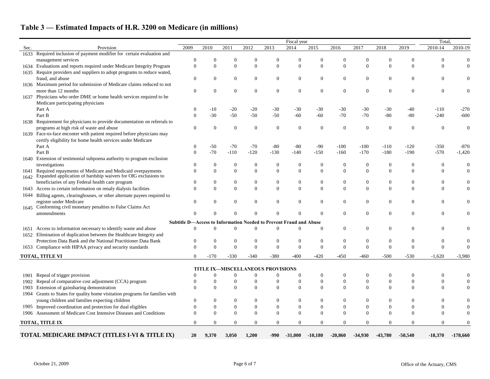|      |                                                                         |                      |                                    |                      |                |                                                                    | Fiscal year                      |                                    |                                |                |                |                  | Total,           |            |
|------|-------------------------------------------------------------------------|----------------------|------------------------------------|----------------------|----------------|--------------------------------------------------------------------|----------------------------------|------------------------------------|--------------------------------|----------------|----------------|------------------|------------------|------------|
| Sec. | Provision                                                               | 2009                 | 2010                               | 2011                 | 2012           | 2013                                                               | 2014                             | 2015                               | 2016                           | 2017           | 2018           | 2019             | 2010-14          | 2010-19    |
| 1633 | Required inclusion of payment modifier for certain evaluation and       |                      |                                    |                      |                |                                                                    |                                  |                                    |                                |                |                |                  |                  |            |
|      | management services                                                     | $\Omega$             |                                    |                      |                |                                                                    | $\Omega$                         | $\theta$                           |                                |                | 0              | $\Omega$         |                  |            |
| 1634 | Evaluations and reports required under Medicare Integrity Program       | $\Omega$             | $\overline{0}$                     |                      | $\Omega$       | $\Omega$                                                           | $\mathbf{0}$                     | $\mathbf{0}$                       | $\Omega$                       | $\Omega$       | $\Omega$       | $\Omega$         |                  |            |
| 1635 | Require providers and suppliers to adopt programs to reduce wated,      |                      |                                    |                      |                |                                                                    |                                  |                                    |                                |                |                |                  |                  |            |
|      | fraud, and abuse                                                        | $\Omega$             | 0                                  |                      | $\Omega$       | $\Omega$                                                           | $\boldsymbol{0}$                 | $\boldsymbol{0}$                   | 0                              | $\overline{0}$ | $\overline{0}$ | $\overline{0}$   |                  |            |
|      | 1636 Maximum period for submission of Medicare claims reduced to not    |                      |                                    |                      |                |                                                                    |                                  |                                    |                                |                |                |                  |                  |            |
|      | more than 12 months                                                     | $\Omega$             | 0                                  |                      |                | $\Omega$                                                           | $\boldsymbol{0}$                 | $\boldsymbol{0}$                   | 0                              | $\overline{0}$ | $\theta$       | $\Omega$         |                  |            |
| 1637 | Physicians who order DME or home health services required to be         |                      |                                    |                      |                |                                                                    |                                  |                                    |                                |                |                |                  |                  |            |
|      | Medicare participating physicians                                       |                      |                                    |                      |                |                                                                    |                                  |                                    |                                |                |                |                  |                  |            |
|      | Part A                                                                  | $\left($             | $-10$                              | $-20$                | $-20$          | $-30$                                                              | $-30$                            | $-30$                              | $-30$                          | $-30$          | $-30$          | -40              | $-110$           | $-270$     |
|      | Part B                                                                  | $\Omega$             | $-30$                              | $-50$                | $-50$          | $-50$                                                              | $-60$                            | $-60$                              | $-70$                          | $-70$          | $-80$          | $-80$            | $-240$           | $-600$     |
| 1638 | Requirement for physicians to provide documentation on referrals to     |                      |                                    |                      |                |                                                                    |                                  |                                    |                                |                |                |                  |                  |            |
|      | programs at high risk of waste and abuse                                | $\Omega$             | $\overline{0}$                     |                      |                | $\Omega$                                                           | $\mathbf{0}$                     | $\theta$                           | $\theta$                       | $\Omega$       | $\overline{0}$ | $\Omega$         | $\Omega$         |            |
| 1639 | Face-to-face enconter with patient required before physicians may       |                      |                                    |                      |                |                                                                    |                                  |                                    |                                |                |                |                  |                  |            |
|      | certify eligibility for home health services under Medicare             |                      |                                    |                      |                |                                                                    |                                  |                                    |                                |                |                |                  |                  |            |
|      | Part A                                                                  | $\Omega$             | $-50$                              | $-70$                | $-70$          | $-80$                                                              | $-80$                            | $-90$                              | $-100$                         | $-100$         | $-110$         | $-120$           | $-350$           | $-870$     |
|      | Part B                                                                  | $\Omega$             | $-70$                              | $-110$               | $-120$         | $-130$                                                             | $-140$                           | $-150$                             | $-160$                         | $-170$         | $-180$         | $-190$           | $-570$           | $-1,420$   |
| 1640 | Extension of testimonial subpoena authority to program exclusion        |                      |                                    |                      |                |                                                                    |                                  |                                    |                                |                |                |                  |                  |            |
|      | investigations                                                          |                      | $\boldsymbol{0}$                   |                      |                |                                                                    | $\boldsymbol{0}$                 | $\boldsymbol{0}$                   | 0                              |                | $\overline{0}$ | $\theta$         |                  |            |
| 1641 | Required repayments of Medicare and Medicaid overpayments               | $\Omega$             | $\boldsymbol{0}$                   | $\Omega$             | $\Omega$       | $\Omega$                                                           | $\mathbf{0}$                     | $\mathbf{0}$                       | $\theta$                       | $\Omega$       | $\mathbf{0}$   | $\theta$         | 0                |            |
| 1642 | Expanded application of hardship waivers for OIG exclusions to          |                      |                                    |                      |                |                                                                    |                                  |                                    |                                |                |                |                  |                  |            |
|      | beneficiaries of any Federal health care program                        |                      | $\theta$                           |                      |                |                                                                    | $\boldsymbol{0}$                 | $\boldsymbol{0}$                   | 0                              |                | $\theta$       | $\Omega$         |                  |            |
| 1643 | Access to certain information on renaly dialysis facilities             | $\Omega$             | $\boldsymbol{0}$                   | $\Omega$             | $\Omega$       | $\Omega$                                                           | $\mathbf{0}$                     | $\mathbf{0}$                       | $\Omega$                       | $\Omega$       | $\mathbf{0}$   | $\overline{0}$   |                  |            |
| 1644 | Billing agents, clearinghouses, or other alternate payees required to   |                      |                                    |                      |                |                                                                    |                                  |                                    |                                |                |                |                  |                  |            |
|      | register under Medicare                                                 | $\Omega$             | 0                                  |                      |                | $\Omega$                                                           | $\mathbf{0}$                     | $\boldsymbol{0}$                   | 0                              | $\Omega$       | $\overline{0}$ | $\overline{0}$   |                  |            |
| 1645 | Conforming civil monetary penalties to False Claims Act                 |                      |                                    |                      |                |                                                                    |                                  |                                    |                                |                |                |                  |                  |            |
|      | ammendments                                                             |                      |                                    |                      |                |                                                                    | $\Omega$                         | $\Omega$                           | 0                              | $\Omega$       | $\overline{0}$ | $\Omega$         | 0                |            |
|      |                                                                         |                      |                                    |                      |                | Subtitle D-Access to Information Needed to Prevent Fraud and Abuse |                                  |                                    |                                |                |                |                  |                  |            |
| 1651 | Access to information necessary to identify waste and abuse             | $\theta$             | $\Omega$                           | $\Omega$             | 0              | $\Omega$                                                           | $\Omega$                         | $\Omega$                           | 0                              | $\theta$       | $\overline{0}$ | $\overline{0}$   |                  |            |
|      | 1652 Elimination of duplication between the Healthcare Integrity and    |                      |                                    |                      |                |                                                                    |                                  |                                    |                                |                |                |                  |                  |            |
|      | Protection Data Bank and the National Practitioner Data Bank            | $\theta$             | $\boldsymbol{0}$                   |                      |                | 0                                                                  | $\boldsymbol{0}$                 | $\mathbf{0}$                       | 0                              | $\overline{0}$ | 0              | $\Omega$         |                  |            |
|      | 1653 Compliance with HIPAA privacy and security standards               | $\Omega$             | $\Omega$                           |                      |                | $\Omega$                                                           | $\Omega$                         | $\Omega$                           | 0                              | $\Omega$       | $\Omega$       | $\Omega$         |                  |            |
|      |                                                                         |                      |                                    |                      |                |                                                                    |                                  |                                    |                                |                |                |                  |                  |            |
|      | <b>TOTAL, TITLE VI</b>                                                  | $\Omega$             | $-170$                             | $-330$               | $-340$         | $-380$                                                             | $-400$                           | $-420$                             | -450                           | -460           | $-500$         | $-530$           | $-1,620$         | $-3,980$   |
|      |                                                                         |                      |                                    |                      |                |                                                                    |                                  |                                    |                                |                |                |                  |                  |            |
|      |                                                                         |                      |                                    |                      |                | <b>TITLE IX-MISCELLANEOUS PROVISIONS</b>                           |                                  |                                    |                                |                |                |                  |                  |            |
| 1901 | Repeal of trigger provision                                             |                      | $\overline{0}$                     | $\theta$             | $\overline{0}$ | $\theta$                                                           | $\theta$                         | $\boldsymbol{0}$                   | $\overline{0}$                 | $\theta$       | $\overline{0}$ | $\overline{0}$   | $\overline{0}$   |            |
| 1902 | Repeal of comparative cost adjustment (CCA) program                     | $\left($<br>$\Omega$ | $\boldsymbol{0}$<br>$\overline{0}$ | $\Omega$<br>$\Omega$ |                | $\Omega$                                                           | $\boldsymbol{0}$<br>$\mathbf{0}$ | $\boldsymbol{0}$<br>$\overline{0}$ | $\mathbf{0}$<br>$\overline{0}$ | $\overline{0}$ | $\overline{0}$ | $\boldsymbol{0}$ | $\overline{0}$   |            |
| 1903 | Extension of gainsharing demonstration                                  |                      |                                    |                      | $\theta$       |                                                                    |                                  |                                    |                                | $\overline{0}$ | $\overline{0}$ | $\overline{0}$   | $\overline{0}$   | 0          |
| 1904 | Grants to States for quality home visitation programs for families with |                      |                                    |                      |                |                                                                    |                                  |                                    |                                |                |                |                  |                  |            |
|      | young children and families expecting children                          | $\Omega$             | $\boldsymbol{0}$                   | $\theta$             | $\overline{0}$ | $\overline{0}$                                                     | $\boldsymbol{0}$                 | $\mathbf{0}$                       | $\overline{0}$                 | $\overline{0}$ | $\theta$       | $\Omega$         | 0                | 0          |
|      | 1905 Improved coordination and protection for dual eligibles            | $\theta$             | $\boldsymbol{0}$                   | $\boldsymbol{0}$     | $\overline{0}$ | $\boldsymbol{0}$                                                   | $\boldsymbol{0}$                 | $\boldsymbol{0}$                   | $\boldsymbol{0}$               | $\overline{0}$ | $\theta$       | $\boldsymbol{0}$ | $\Omega$         |            |
|      | 1906 Assessment of Medicare Cost Intensive Diseases and Conditions      | $\Omega$             | $\overline{0}$                     | $\Omega$             | $\Omega$       | $\theta$                                                           | $\mathbf{0}$                     | $\mathbf{0}$                       | $\Omega$                       | $\theta$       | $\Omega$       | $\overline{0}$   | $\overline{0}$   |            |
|      | <b>TOTAL, TITLE IX</b>                                                  | $\Omega$             | $\overline{0}$                     | $\overline{0}$       | $\Omega$       | $\overline{0}$                                                     | $\mathbf{0}$                     | $\overline{0}$                     | $\overline{0}$                 | $\Omega$       | $\Omega$       | $\Omega$         | $\boldsymbol{0}$ | $\Omega$   |
|      |                                                                         |                      |                                    |                      |                |                                                                    |                                  |                                    |                                |                |                |                  |                  |            |
|      | TOTAL MEDICARE IMPACT (TITLES I-VI & TITLE IX)                          | <b>20</b>            | 9,370                              | 3,050                | 1,200          | -990                                                               | $-31,000$                        | $-10,180$                          | $-20,860$                      | $-34,930$      | $-43,780$      | $-50,540$        | $-18,370$        | $-178,660$ |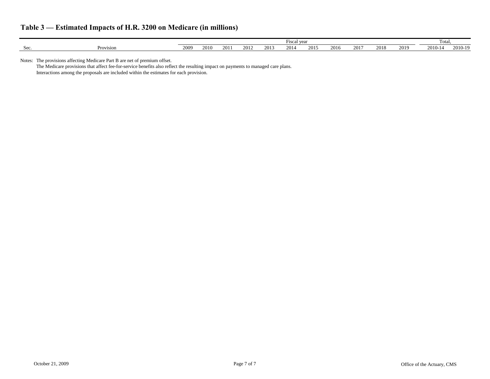|                      |           | Fisca.<br>$N\mathbf{A}$<br>vu. |      |           |      |      |      |      |      |      |      | Total |        |         |
|----------------------|-----------|--------------------------------|------|-----------|------|------|------|------|------|------|------|-------|--------|---------|
| $\mathbf{v}$<br>DUC. | Provision | 2009                           | 2010 | $\bigcap$ | 2012 | 2013 | 2014 | 2015 | 2016 | 2017 | 2018 | 2019  | 2010-1 | 2010-19 |

Notes: The provisions affecting Medicare Part B are net of premium offset.

The Medicare provisions that affect fee-for-service benefits also reflect the resulting impact on payments to managed care plans. Interactions among the proposals are included within the estimates for each provision.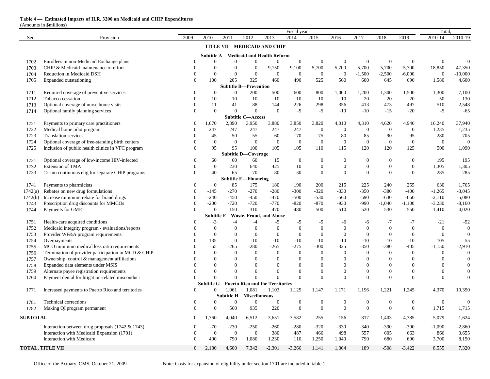### **Table 4 — Estimated Impacts of H.R. 3200 on Medicaid and CHIP Expenditures**

(Amounts in \$millions)

|                 |                                                           |                            |                    |                                 |                                   |                                                   | Fiscal year      |                        |                        |                        |                        |                      | Total.           |                  |
|-----------------|-----------------------------------------------------------|----------------------------|--------------------|---------------------------------|-----------------------------------|---------------------------------------------------|------------------|------------------------|------------------------|------------------------|------------------------|----------------------|------------------|------------------|
| Sec.            | Provision                                                 | 2009                       | 2010               | 2011                            | 2012                              | 2013                                              | 2014             | 2015                   | 2016                   | 2017                   | 2018                   | 2019                 | 2010-14          | 2010-19          |
|                 |                                                           |                            |                    |                                 |                                   | TITLE VII-MEDICAID AND CHIP                       |                  |                        |                        |                        |                        |                      |                  |                  |
|                 |                                                           |                            |                    |                                 |                                   |                                                   |                  |                        |                        |                        |                        |                      |                  |                  |
|                 |                                                           |                            |                    |                                 |                                   | <b>Subtitle A-Medicaid and Health Reform</b>      |                  |                        |                        |                        |                        |                      |                  |                  |
| 1702            | Enrollees in non-Medicaid Exchange plans                  | $\Omega$                   | $\Omega$           |                                 | 0                                 | $\boldsymbol{0}$                                  | $\boldsymbol{0}$ | $\boldsymbol{0}$       | $\mathbf{0}$           | $\boldsymbol{0}$       | $\boldsymbol{0}$       | $\boldsymbol{0}$     | $\overline{0}$   | $\mathbf{0}$     |
| 1703            | CHIP & Medicaid maintenance of effort                     |                            |                    |                                 | 0                                 | $-9,750$                                          | $-9,100$         | $-5,700$               | $-5,700$               | $-5,700$               | $-5,700$               | $-5,700$             | $-18,850$        | $-47,350$        |
| 1704            | Reduction in Medicaid DSH                                 |                            | $\overline{0}$     | $\mathbf{0}$                    | $\overline{0}$                    | $\overline{0}$                                    | $\overline{0}$   | $\mathbf{0}$           | $\boldsymbol{0}$       | $-1,500$               | $-2,500$               | $-6,000$             | $\overline{0}$   | $-10,000$        |
| 1705            | Expanded outstationing                                    | $\Omega$                   | 100                | 205                             | 325                               | 460                                               | 490              | 525                    | 560                    | 600                    | 645                    | 690                  | 1,580            | 4,600            |
|                 |                                                           |                            |                    | Subtitle B-                     | -Prevention                       |                                                   |                  |                        |                        |                        |                        |                      |                  |                  |
| 1711            | Required coverage of preventive services                  | $\theta$                   | $\bf{0}$           | $\Omega$                        | 200                               | 500                                               | 600              | 800                    | 1,000                  | 1,200                  | 1,300                  | 1,500                | 1,300            | 7,100            |
| 1712            | Tobacco cessation                                         |                            | 10                 | 10                              | 10                                | 10                                                | 10               | 10                     | 10                     | 20                     | 20                     | 20                   | 50               | 130              |
| 1713            | Optional coverage of nurse home visits                    | $\Omega$                   | 11                 | 41                              | 88                                | 144                                               | 226              | 298                    | 356                    | 413                    | 473                    | 497                  | 510              | 2,548            |
| 1714            | Optional family planning services                         | $\theta$                   | $\mathbf{0}$       | $\Omega$                        | $\overline{0}$                    | $\boldsymbol{0}$                                  | $-5$             | $-5$                   | $-10$                  | $-10$                  | $-15$                  | $-20$                | $-5$             | $-65$            |
|                 |                                                           |                            |                    |                                 | <b>Subtitle C-Access</b><br>3,950 |                                                   |                  | 3,820                  | 4,010                  | 4,310                  | 4,620                  |                      | 16,240           |                  |
| 1721<br>1722    | Payments to primary care practitioners                    | $\overline{0}$<br>$\Omega$ | 1,670<br>247       | 2,890<br>247                    | 247                               | 3,880<br>247                                      | 3,850<br>247     |                        |                        |                        |                        | 4,940                | 1,235            | 37,940<br>1,235  |
|                 | Medical home pilot program<br><b>Translation services</b> |                            | 45                 | 50                              | 55                                | 60                                                | 70               | $\boldsymbol{0}$       | $\boldsymbol{0}$       | $\boldsymbol{0}$<br>85 | $\boldsymbol{0}$<br>90 | $\overline{0}$<br>95 | 280              | 705              |
| 1723<br>1724    | Optional coverage of free-standing birth centers          |                            | $\boldsymbol{0}$   | $\boldsymbol{0}$                | $\boldsymbol{0}$                  | $\boldsymbol{0}$                                  | $\boldsymbol{0}$ | 75<br>$\boldsymbol{0}$ | 80<br>$\boldsymbol{0}$ | $\boldsymbol{0}$       | $\overline{0}$         | $\overline{0}$       | $\overline{0}$   | $\mathbf{0}$     |
| 1725            |                                                           | $\mathbf{0}$               | 95                 | 95                              | 100                               | 105                                               | 105              | 110                    | 115                    | 120                    | 120                    | 125                  | 500              | 1,090            |
|                 | Inclusion of public health clinics in VFC program         |                            |                    |                                 | <b>Subtitle D-Coverage</b>        |                                                   |                  |                        |                        |                        |                        |                      |                  |                  |
| 1731            | Optional coverage of low-income HIV-infected              | $\overline{0}$             |                    | 60                              | 60                                | 15                                                | $\boldsymbol{0}$ | $\boldsymbol{0}$       | $\boldsymbol{0}$       | $\theta$               | $\theta$               | 0                    | 195              | 195              |
| 1732            | <b>Extension of TMA</b>                                   | $\Omega$                   | 60<br>$\mathbf{0}$ | 230                             | 640                               | 425                                               | 10               | $\boldsymbol{0}$       | $\boldsymbol{0}$       | $\overline{0}$         | $\Omega$               | $\Omega$             | 1,305            | 1,305            |
| 1733            | 12-mo continuous elig for separate CHIP programs          | $\theta$                   | 40                 | 65                              | 70                                | 80                                                | 30               | $\mathbf{0}$           | $\overline{0}$         | $\Omega$               | $\Omega$               | 0                    | 285              | 285              |
|                 |                                                           |                            |                    |                                 | <b>Subtitle E-Financing</b>       |                                                   |                  |                        |                        |                        |                        |                      |                  |                  |
| 1741            | Payments to pharmicists                                   | $\overline{0}$             | $\overline{0}$     | 85                              | 175                               | 180                                               | 190              | 200                    | 215                    | 225                    | 240                    | 255                  | 630              | 1,765            |
| 1742(a)         | Rebates on new drug formulations                          | $\theta$                   | $-145$             | $-270$                          | $-270$                            | $-280$                                            | $-300$           | $-320$                 | $-330$                 | $-350$                 | $-380$                 | $-400$               | $-1,265$         | $-3,045$         |
| 1742(b)         | Increase minimum rebate for brand drugs                   | $\Omega$                   | $-240$             | $-450$                          | $-450$                            | $-470$                                            | $-500$           | $-530$                 | $-560$                 | $-590$                 | $-630$                 | $-660$               | $-2,110$         | $-5,080$         |
| 1743            | Prescription drug discounts for MMCOs                     |                            | $-200$             | $-720$                          | $-720$                            | $-770$                                            | $-820$           | $-870$                 | $-930$                 | $-990$                 | $-1,040$               | $-1,100$             | $-3,230$         | $-8,160$         |
| 1744            | Payments for GME                                          | $\Omega$                   | $\mathbf{0}$       | 150                             | 310                               | 470                                               | 480              | 500                    | 510                    | 520                    | 530                    | 550                  | 1,410            | 4,020            |
|                 |                                                           |                            |                    |                                 |                                   | Subtitle F-Waste, Fraud, and Abuse                |                  |                        |                        |                        |                        |                      |                  |                  |
| 1751            | Health-care acquired conditions                           |                            | $-3$               | -4                              | -4                                | -5                                                | -5               | $-5$                   | -6                     | -6                     | -7                     | $-7$                 | $-21$            | $-52$            |
| 1752            | Medicaid integrity program - evaluations/reports          |                            | $\boldsymbol{0}$   | $\theta$                        | 0                                 | $\boldsymbol{0}$                                  | $\boldsymbol{0}$ | $\boldsymbol{0}$       | $\boldsymbol{0}$       | $\theta$               | $\Omega$               | $\overline{0}$       | $\overline{0}$   | $\boldsymbol{0}$ |
| 1753            | Provider WF&A program requirements                        |                            | $\overline{0}$     | $\Omega$                        | $\overline{0}$                    | $\boldsymbol{0}$                                  | $\overline{0}$   | $\overline{0}$         | $\overline{0}$         | $\Omega$               | $\overline{0}$         | $\overline{0}$       | $\theta$         | $\overline{0}$   |
| 1754            | Overpayments                                              |                            | 135                | $\theta$                        | $-10$                             | $-10$                                             | $-10$            | $-10$                  | $-10$                  | $-10$                  | $-10$                  | $-10$                | 105              | 55               |
| 1755            | MCO minimum medical loss ratio requirements               |                            | $-65$              | $-265$                          | $-280$                            | $-265$                                            | $-275$           | $-300$                 | $-325$                 | $-350$                 | $-380$                 | $-405$               | $-1,150$         | $-2,910$         |
| 1756            | Termination of provider participation in MCD & CHIP       |                            |                    |                                 |                                   | $\Omega$                                          |                  |                        | $\theta$               | 0                      |                        |                      |                  | $\Omega$         |
| 1757            | Ownership, control & management affliiations              |                            | $\Omega$           |                                 |                                   |                                                   | $\Omega$         | $\Omega$               | $\Omega$               |                        |                        |                      |                  | $\Omega$         |
| 1758            | Expanded data elements under MSIS                         |                            | $\Omega$           |                                 |                                   |                                                   | $\theta$         | $\Omega$               | $\Omega$               |                        |                        |                      | $\Omega$         | $\theta$         |
| 1759            | Alternate payee registration requirements                 |                            |                    |                                 |                                   |                                                   | $\overline{0}$   | $\theta$               | $\theta$               | 0                      |                        |                      | $\boldsymbol{0}$ | $\Omega$         |
| 1760            | Payment denial for litigation-related misconduct          | 0                          | $\Omega$           |                                 |                                   |                                                   | $\Omega$         | $\Omega$               | $\overline{0}$         | $\Omega$               | $\Omega$               | $\Omega$             | $\overline{0}$   | $\theta$         |
|                 |                                                           |                            |                    |                                 |                                   | <b>Subtitle G-Puerto Rico and the Territories</b> |                  |                        |                        |                        |                        |                      |                  |                  |
| 1771            | Increased payments to Puerto Rico and territories         | $\Omega$                   | $\Omega$           | 1,061                           | 1,081                             | 1,103                                             | 1,125            | 1,147                  | 1,171                  | 1,196                  | 1,221                  | 1,245                | 4,370            | 10,350           |
|                 |                                                           |                            |                    | <b>Subtitle H-Miscellaneous</b> |                                   |                                                   |                  |                        |                        |                        |                        |                      |                  |                  |
| 1781            | Technical corrections                                     | $\overline{0}$             | 0                  | $\Omega$                        | $\overline{0}$                    | $\boldsymbol{0}$                                  | $\boldsymbol{0}$ | $\boldsymbol{0}$       | $\boldsymbol{0}$       | $\boldsymbol{0}$       | $\boldsymbol{0}$       | $\overline{0}$       | $\overline{0}$   | $\boldsymbol{0}$ |
| 1782            | Making QI program permanent                               | $\theta$                   | $\overline{0}$     | 560                             | 935                               | 220                                               | $\boldsymbol{0}$ | $\mathbf{0}$           | $\mathbf{0}$           | $\theta$               | $\theta$               | $\overline{0}$       | 1,715            | 1,715            |
| <b>SUBTOTAL</b> |                                                           | $\overline{0}$             | 1,760              | 4,040                           | 6,512                             | $-3,651$                                          | $-3,582$         | $-255$                 | 156                    | $-817$                 | $-1,403$               | $-4,385$             | 5,079            | $-1,624$         |
|                 |                                                           |                            |                    |                                 |                                   |                                                   |                  |                        |                        |                        |                        |                      |                  |                  |
|                 | Interaction between drug proposals $(1742 \& 1743)$       |                            | $-70$              | $-230$                          | $-250$                            | $-260$                                            | $-280$           | $-320$                 | $-330$                 | $-340$                 | $-390$                 | $-390$               | $-1,090$         | $-2,860$         |
|                 | Interaction with Medicaid Expansion (1701)                | $\Omega$                   | $\overline{0}$     | $\theta$                        | $\overline{0}$                    | 380                                               | 487              | 466                    | 498                    | 557                    | 605                    | 663                  | 866              | 3,655            |
|                 | Interaction with Medicare                                 | $\Omega$                   | 490                | 790                             | 1,080                             | 1,230                                             | 110              | 1,250                  | 1,040                  | 790                    | 680                    | 690                  | 3,700            | 8,150            |
|                 | <b>TOTAL, TITLE VII</b>                                   | $\overline{0}$             | 2,180              | 4,600                           | 7,342                             | $-2,301$                                          | $-3,266$         | 1,141                  | 1,364                  | 189                    | $-508$                 | $-3,422$             | 8,555            | 7,320            |
|                 |                                                           |                            |                    |                                 |                                   |                                                   |                  |                        |                        |                        |                        |                      |                  |                  |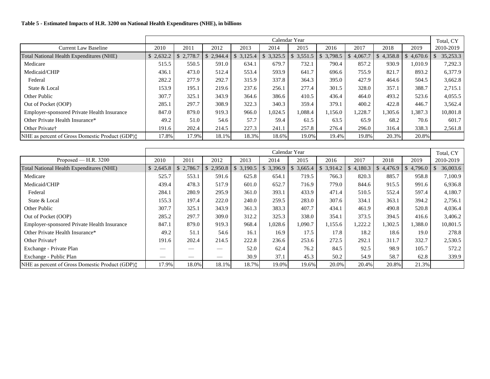### **Table 5 - Estimated Impacts of H.R. 3200 on National Health Expenditures (NHE), in billions**

|                                                           | Calendar Year<br>Total, CY |         |         |         |                         |         |                         |         |         |                         |           |
|-----------------------------------------------------------|----------------------------|---------|---------|---------|-------------------------|---------|-------------------------|---------|---------|-------------------------|-----------|
| <b>Current Law Baseline</b>                               | 2010                       | 2011    | 2012    | 2013    | 2014                    | 2015    | 2016                    | 2017    | 2018    | 2019                    | 2010-2019 |
| Total National Health Expenditures (NHE)                  | 2,632.2                    | 2,778.7 | 2,944.4 | 3,125.4 | 3,325.5<br>$\mathbb{S}$ | 3,551.5 | 3,798.5<br>$\mathbb{S}$ | 4,067.7 | 4,358.8 | 4,670.6<br>$\mathbb{S}$ | 35,253.3  |
| Medicare                                                  | 515.5                      | 550.5   | 591.0   | 634.1   | 679.7                   | 732.1   | 790.4                   | 857.2   | 930.9   | 1,010.9                 | 7,292.3   |
| Medicaid/CHIP                                             | 436.1                      | 473.0   | 512.4   | 553.4   | 593.9                   | 641.7   | 696.6                   | 755.9   | 821.7   | 893.2                   | 6,377.9   |
| Federal                                                   | 282.2                      | 277.9   | 292.7   | 315.9   | 337.8                   | 364.3   | 395.0                   | 427.9   | 464.6   | 504.5                   | 3,662.8   |
| State & Local                                             | 153.9                      | 195.1   | 219.6   | 237.6   | 256.1                   | 277.4   | 301.5                   | 328.0   | 357.1   | 388.7                   | 2,715.1   |
| Other Public                                              | 307.7                      | 325.1   | 343.9   | 364.6   | 386.6                   | 410.5   | 436.4                   | 464.0   | 493.2   | 523.6                   | 4,055.5   |
| Out of Pocket (OOP)                                       | 285.1                      | 297.7   | 308.9   | 322.3   | 340.3                   | 359.4   | 379.1                   | 400.2   | 422.8   | 446.7                   | 3,562.4   |
| <b>Employer-sponsored Private Health Insurance</b>        | 847.0                      | 879.0   | 919.3   | 966.0   | 1,024.5                 | 1,088.4 | ,156.0                  | 1,228.7 | 1,305.6 | 1,387.3                 | 10,801.8  |
| Other Private Health Insurance*                           | 49.2                       | 51.0    | 54.6    | 57.7    | 59.4                    | 61.5    | 63.5                    | 65.9    | 68.2    | 70.6                    | 601.7     |
| Other Private <sup>†</sup>                                | 191.6                      | 202.4   | 214.5   | 227.3   | 241.1                   | 257.8   | 276.4                   | 296.0   | 316.4   | 338.3                   | 2,561.8   |
| NHE as percent of Gross Domestic Product (GDP) $\ddagger$ | 17.8%                      | 17.9%   | 18.1%   | 18.3%   | 18.6%                   | 19.0%   | 19.4%                   | 19.8%   | 20.3%   | 20.8%                   |           |

|                                                    | Calendar Year |         |                          |         |                          |           |           |               |           |                          | Total, CY |
|----------------------------------------------------|---------------|---------|--------------------------|---------|--------------------------|-----------|-----------|---------------|-----------|--------------------------|-----------|
| Proposed — H.R. $3200$                             | 2010          | 2011    | 2012                     | 2013    | 2014                     | 2015      | 2016      | 2017          | 2018      | 2019                     | 2010-2019 |
| Total National Health Expenditures (NHE)           | \$2,645.8     | 2,786.7 | \$2,950.8                | 3,190.5 | $\mathcal{S}$<br>3,396.9 | \$3,665.4 | \$3,914.2 | 4,180.3<br>\$ | \$4,476.9 | $\mathcal{S}$<br>4,796.0 | 36,003.6  |
| Medicare                                           | 525.7         | 553.1   | 591.6                    | 625.8   | 654.1                    | 719.5     | 766.3     | 820.3         | 885.7     | 958.8                    | 7,100.9   |
| Medicaid/CHIP                                      | 439.4         | 478.3   | 517.9                    | 601.0   | 652.7                    | 716.9     | 779.0     | 844.6         | 915.5     | 991.6                    | 6,936.8   |
| Federal                                            | 284.1         | 280.9   | 295.9                    | 361.0   | 393.1                    | 433.9     | 471.4     | 510.5         | 552.4     | 597.4                    | 4,180.7   |
| State & Local                                      | 155.3         | 197.4   | 222.0                    | 240.0   | 259.5                    | 283.0     | 307.6     | 334.1         | 363.1     | 394.2                    | 2,756.1   |
| Other Public                                       | 307.7         | 325.1   | 343.9                    | 361.3   | 383.3                    | 407.7     | 434.1     | 461.9         | 490.8     | 520.8                    | 4,036.4   |
| Out of Pocket (OOP)                                | 285.2         | 297.7   | 309.0                    | 312.2   | 325.3                    | 338.0     | 354.1     | 373.5         | 394.5     | 416.6                    | 3,406.2   |
| <b>Employer-sponsored Private Health Insurance</b> | 847.1         | 879.0   | 919.3                    | 968.4   | 1,028.6                  | 1,090.7   | 1,155.6   | 1,222.2       | 1,302.5   | 1,388.0                  | 10,801.5  |
| Other Private Health Insurance*                    | 49.2          | 51.1    | 54.6                     | 16.1    | 16.9                     | 17.5      | 17.8      | 18.2          | 18.6      | 19.0                     | 278.8     |
| Other Private†                                     | 191.6         | 202.4   | 214.5                    | 222.8   | 236.6                    | 253.6     | 272.5     | 292.1         | 311.7     | 332.7                    | 2,530.5   |
| Exchange - Private Plan                            |               |         | $\overline{\phantom{a}}$ | 52.0    | 62.4                     | 76.2      | 84.5      | 92.5          | 98.9      | 105.7                    | 572.2     |
| Exchange - Public Plan                             | __            |         |                          | 30.9    | 37.1                     | 45.3      | 50.2      | 54.9          | 58.7      | 62.8                     | 339.9     |
| NHE as percent of Gross Domestic Product (GDP):    | 17.9%         | 18.0%   | 18.1%                    | 18.7%   | 19.0%                    | 19.6%     | 20.0%     | 20.4%         | 20.8%     | 21.3%                    |           |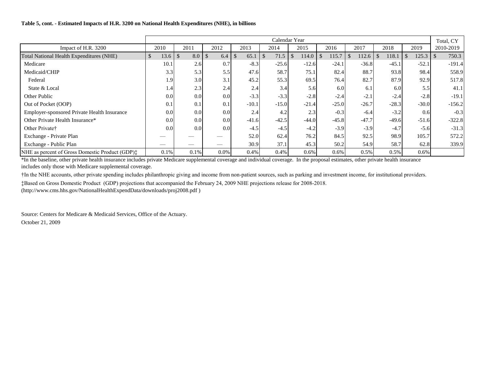#### **Table 5, cont. - Estimated Impacts of H.R. 3200 on National Health Expenditures (NHE), in billions**

|                                                           | Calendar Year |                      |                      |                       |         |         |         |                        |         | Total, CY |           |
|-----------------------------------------------------------|---------------|----------------------|----------------------|-----------------------|---------|---------|---------|------------------------|---------|-----------|-----------|
| Impact of H.R. 3200                                       | 2010          | 2011                 | 2012                 | 2013                  | 2014    | 2015    | 2016    | 2017                   | 2018    | 2019      | 2010-2019 |
| Total National Health Expenditures (NHE)                  | 13.6          | $\mathcal{S}$<br>8.0 | $\mathcal{S}$<br>6.4 | $\mathcal{S}$<br>65.1 | 71.5    | 114.0   | 115.7   | $\mathcal{S}$<br>112.6 | 118.1   | 125.3     | 750.3     |
| Medicare                                                  | 10.1          | 2.6                  | 0.7                  | $-8.3$                | $-25.6$ | $-12.6$ | $-24.1$ | $-36.8$                | $-45.1$ | $-52.1$   | $-191.4$  |
| Medicaid/CHIP                                             | 3.3           | 5.3                  | 5.5                  | 47.6                  | 58.7    | 75.1    | 82.4    | 88.7                   | 93.8    | 98.4      | 558.9     |
| Federal                                                   | 1.9           | 3.0                  | 3.1                  | 45.2                  | 55.3    | 69.5    | 76.4    | 82.7                   | 87.9    | 92.9      | 517.8     |
| State & Local                                             | 1.4           | 2.3                  | 2.4                  | 2.4                   | 3.4     | 5.6     | 6.0     | 6.1                    | 6.0     | 5.5       | 41.1      |
| Other Public                                              | 0.0           | 0.0                  | 0.0                  | $-3.3$                | $-3.3$  | $-2.8$  | $-2.4$  | $-2.1$                 | $-2.4$  | $-2.8$    | $-19.1$   |
| Out of Pocket (OOP)                                       | 0.1           | 0.1                  | 0.1                  | $-10.1$               | $-15.0$ | $-21.4$ | $-25.0$ | $-26.7$                | $-28.3$ | $-30.0$   | $-156.2$  |
| Employer-sponsored Private Health Insurance               | 0.0           | 0.0 <sub>l</sub>     | 0.0                  | 2.4                   | 4.2     | 2.3     | $-0.3$  | $-6.4$                 | $-3.2$  | 0.6       | $-0.3$    |
| Other Private Health Insurance*                           | 0.0           | 0.0 <sub>l</sub>     | 0.0                  | $-41.6$               | $-42.5$ | $-44.0$ | $-45.8$ | $-47.7$                | $-49.6$ | $-51.6$   | $-322.8$  |
| Other Private†                                            | 0.0           | 0.0 <sub>l</sub>     | 0.0                  | $-4.5$                | $-4.5$  | $-4.2$  | $-3.9$  | $-3.9$                 | $-4.7$  | $-5.6$    | $-31.3$   |
| Exchange - Private Plan                                   |               |                      |                      | 52.0                  | 62.4    | 76.2    | 84.5    | 92.5                   | 98.9    | 105.7     | 572.2     |
| Exchange - Public Plan                                    |               |                      |                      | 30.9                  | 37.1    | 45.3    | 50.2    | 54.9                   | 58.7    | 62.8      | 339.9     |
| NHE as percent of Gross Domestic Product (GDP) $\ddagger$ | 0.1%          | $0.1\%$              | 0.0%                 | 0.4%                  | $0.4\%$ | $0.6\%$ | 0.6%    | 0.5%                   | $0.5\%$ | 0.6%      |           |

\*In the baseline, other private health insurance includes private Medicare supplemental coverage and individual coverage. In the proposal estimates, other private health insurance includes only those with Medicare supplemental coverage.

†In the NHE accounts, other private spending includes philanthropic giving and income from non-patient sources, such as parking and investment income, for institutional providers.

‡Based on Gross Domestic Product (GDP) projections that accompanied the February 24, 2009 NHE projections release for 2008-2018.

(http://www.cms.hhs.gov/NationalHealthExpendData/downloads/proj2008.pdf )

Source: Centers for Medicare & Medicaid Services, Office of the Actuary. October 21, 2009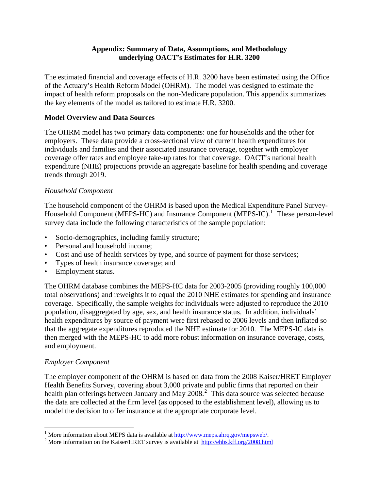### **Appendix: Summary of Data, Assumptions, and Methodology underlying OACT's Estimates for H.R. 3200**

The estimated financial and coverage effects of H.R. 3200 have been estimated using the Office of the Actuary's Health Reform Model (OHRM). The model was designed to estimate the impact of health reform proposals on the non-Medicare population. This appendix summarizes the key elements of the model as tailored to estimate H.R. 3200.

### **Model Overview and Data Sources**

The OHRM model has two primary data components: one for households and the other for employers. These data provide a cross-sectional view of current health expenditures for individuals and families and their associated insurance coverage, together with employer coverage offer rates and employee take-up rates for that coverage. OACT's national health expenditure (NHE) projections provide an aggregate baseline for health spending and coverage trends through 2019.

### *Household Component*

The household component of the OHRM is based upon the Medical Expenditure Panel Survey-Household Component (MEPS-HC) and Insurance Component (MEPS-IC).<sup>[1](#page-26-0)</sup> These person-level survey data include the following characteristics of the sample population:

- Socio-demographics, including family structure;
- Personal and household income:
- Cost and use of health services by type, and source of payment for those services;
- Types of health insurance coverage; and
- Employment status.

The OHRM database combines the MEPS-HC data for 2003-2005 (providing roughly 100,000 total observations) and reweights it to equal the 2010 NHE estimates for spending and insurance coverage. Specifically, the sample weights for individuals were adjusted to reproduce the 2010 population, disaggregated by age, sex, and health insurance status. In addition, individuals' health expenditures by source of payment were first rebased to 2006 levels and then inflated so that the aggregate expenditures reproduced the NHE estimate for 2010. The MEPS-IC data is then merged with the MEPS-HC to add more robust information on insurance coverage, costs, and employment.

### *Employer Component*

The employer component of the OHRM is based on data from the 2008 Kaiser/HRET Employer Health Benefits Survey, covering about 3,000 private and public firms that reported on their health plan offerings between January and May [2](#page-26-1)008.<sup>2</sup> This data source was selected because the data are collected at the firm level (as opposed to the establishment level), allowing us to model the decision to offer insurance at the appropriate corporate level.

<span id="page-26-0"></span><sup>&</sup>lt;sup>1</sup> More information about MEPS data is available at  $\frac{http://www.meps.ahrq.gov/mepsweb/}{http://www.meps.ahrq.gov/mepsweb/}{http://www.meps.ahrq.gov/mepsweb/}{http://www.meps.ahrq.gov/mepsweb/}{http://www.meps.ahrq.gov/mepsweb/}{http://www.meps.ahrq.gov/mepsweb/}{http://www.meps.ahrq.gov/mepsweb/}{http://www.meps.ahrq.gov/mepsweb/}{http://www.meps.ahrq.gov/mepsweb/}{http://www.meps.ahrq.gov/mepsweb/}{http://www.meps.ahrq.gov/mepsweb/}{http://www.meps.ahrq.gov/m$ 

<span id="page-26-1"></span><sup>&</sup>lt;sup>2</sup> More information on the Kaiser/HRET survey is available at  $\frac{http://ehbs.kff.org/2008.html}{http://ehbs.kff.org/2008.html}$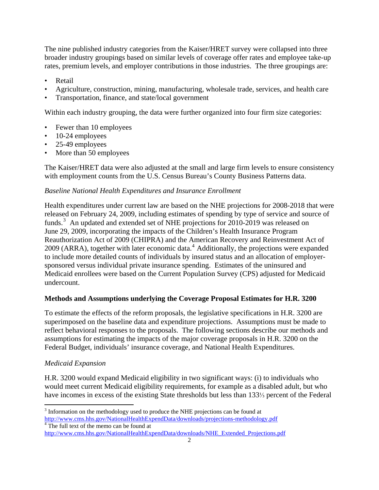The nine published industry categories from the Kaiser/HRET survey were collapsed into three broader industry groupings based on similar levels of coverage offer rates and employee take-up rates, premium levels, and employer contributions in those industries. The three groupings are:

- Retail
- Agriculture, construction, mining, manufacturing, wholesale trade, services, and health care
- Transportation, finance, and state/local government

Within each industry grouping, the data were further organized into four firm size categories:

- Fewer than 10 employees
- 10-24 employees
- 25-49 employees
- More than 50 employees

The Kaiser/HRET data were also adjusted at the small and large firm levels to ensure consistency with employment counts from the U.S. Census Bureau's County Business Patterns data.

# *Baseline National Health Expenditures and Insurance Enrollment*

Health expenditures under current law are based on the NHE projections for 2008-2018 that were released on February 24, 2009, including estimates of spending by type of service and source of funds.<sup>[3](#page-27-0)</sup> An updated and extended set of NHE projections for 2010-2019 was released on June 29, 2009, incorporating the impacts of the Children's Health Insurance Program Reauthorization Act of 2009 (CHIPRA) and the American Recovery and Reinvestment Act of 2009 (ARRA), together with later economic data.<sup>[4](#page-27-1)</sup> Additionally, the projections were expanded to include more detailed counts of individuals by insured status and an allocation of employersponsored versus individual private insurance spending. Estimates of the uninsured and Medicaid enrollees were based on the Current Population Survey (CPS) adjusted for Medicaid undercount.

## **Methods and Assumptions underlying the Coverage Proposal Estimates for H.R. 3200**

To estimate the effects of the reform proposals, the legislative specifications in H.R. 3200 are superimposed on the baseline data and expenditure projections. Assumptions must be made to reflect behavioral responses to the proposals. The following sections describe our methods and assumptions for estimating the impacts of the major coverage proposals in H.R. 3200 on the Federal Budget, individuals' insurance coverage, and National Health Expenditures.

## *Medicaid Expansion*

H.R. 3200 would expand Medicaid eligibility in two significant ways: (i) to individuals who would meet current Medicaid eligibility requirements, for example as a disabled adult, but who have incomes in excess of the existing State thresholds but less than 133⅓ percent of the Federal

<span id="page-27-0"></span> $3$  Information on the methodology used to produce the NHE projections can be found at <http://www.cms.hhs.gov/NationalHealthExpendData/downloads/projections-methodology.pdf> <sup>4</sup> The full text of the memo can be found at

<span id="page-27-1"></span>[http://www.cms.hhs.gov/NationalHealthExpendData/downloads/NHE\\_Extended\\_Projections.pdf](http://www.cms.hhs.gov/NationalHealthExpendData/downloads/NHE_Extended_Projections.pdf)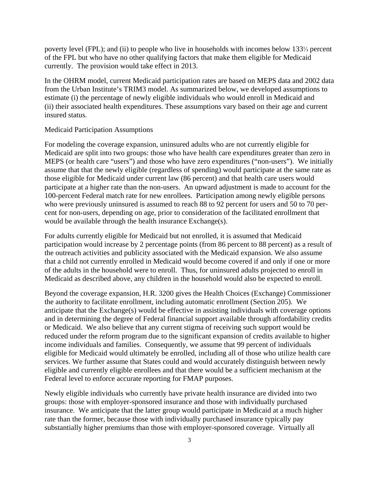poverty level (FPL); and (ii) to people who live in households with incomes below 133⅓ percent of the FPL but who have no other qualifying factors that make them eligible for Medicaid currently. The provision would take effect in 2013.

In the OHRM model, current Medicaid participation rates are based on MEPS data and 2002 data from the Urban Institute's TRIM3 model. As summarized below, we developed assumptions to estimate (i) the percentage of newly eligible individuals who would enroll in Medicaid and (ii) their associated health expenditures. These assumptions vary based on their age and current insured status.

#### Medicaid Participation Assumptions

For modeling the coverage expansion, uninsured adults who are not currently eligible for Medicaid are split into two groups: those who have health care expenditures greater than zero in MEPS (or health care "users") and those who have zero expenditures ("non-users"). We initially assume that that the newly eligible (regardless of spending) would participate at the same rate as those eligible for Medicaid under current law (86 percent) and that health care users would participate at a higher rate than the non-users. An upward adjustment is made to account for the 100-percent Federal match rate for new enrollees. Participation among newly eligible persons who were previously uninsured is assumed to reach 88 to 92 percent for users and 50 to 70 percent for non-users, depending on age, prior to consideration of the facilitated enrollment that would be available through the health insurance Exchange(s).

For adults currently eligible for Medicaid but not enrolled, it is assumed that Medicaid participation would increase by 2 percentage points (from 86 percent to 88 percent) as a result of the outreach activities and publicity associated with the Medicaid expansion. We also assume that a child not currently enrolled in Medicaid would become covered if and only if one or more of the adults in the household were to enroll. Thus, for uninsured adults projected to enroll in Medicaid as described above, any children in the household would also be expected to enroll.

Beyond the coverage expansion, H.R. 3200 gives the Health Choices (Exchange) Commissioner the authority to facilitate enrollment, including automatic enrollment (Section 205). We anticipate that the Exchange(s) would be effective in assisting individuals with coverage options and in determining the degree of Federal financial support available through affordability credits or Medicaid. We also believe that any current stigma of receiving such support would be reduced under the reform program due to the significant expansion of credits available to higher income individuals and families. Consequently, we assume that 99 percent of individuals eligible for Medicaid would ultimately be enrolled, including all of those who utilize health care services. We further assume that States could and would accurately distinguish between newly eligible and currently eligible enrollees and that there would be a sufficient mechanism at the Federal level to enforce accurate reporting for FMAP purposes.

Newly eligible individuals who currently have private health insurance are divided into two groups: those with employer-sponsored insurance and those with individually purchased insurance. We anticipate that the latter group would participate in Medicaid at a much higher rate than the former, because those with individually purchased insurance typically pay substantially higher premiums than those with employer-sponsored coverage. Virtually all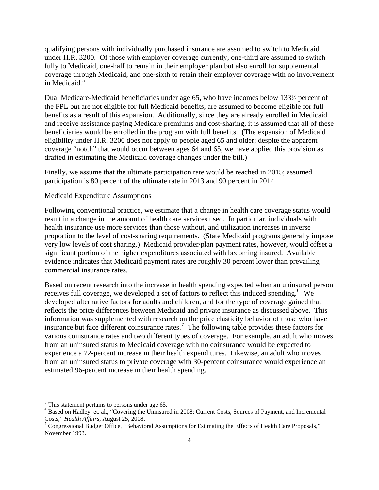qualifying persons with individually purchased insurance are assumed to switch to Medicaid under H.R. 3200. Of those with employer coverage currently, one-third are assumed to switch fully to Medicaid, one-half to remain in their employer plan but also enroll for supplemental coverage through Medicaid, and one-sixth to retain their employer coverage with no involvement in Medicaid.<sup>[5](#page-29-0)</sup>

Dual Medicare-Medicaid beneficiaries under age 65, who have incomes below 133⅓ percent of the FPL but are not eligible for full Medicaid benefits, are assumed to become eligible for full benefits as a result of this expansion. Additionally, since they are already enrolled in Medicaid and receive assistance paying Medicare premiums and cost-sharing, it is assumed that all of these beneficiaries would be enrolled in the program with full benefits. (The expansion of Medicaid eligibility under H.R. 3200 does not apply to people aged 65 and older; despite the apparent coverage "notch" that would occur between ages 64 and 65, we have applied this provision as drafted in estimating the Medicaid coverage changes under the bill.)

Finally, we assume that the ultimate participation rate would be reached in 2015; assumed participation is 80 percent of the ultimate rate in 2013 and 90 percent in 2014.

#### Medicaid Expenditure Assumptions

Following conventional practice, we estimate that a change in health care coverage status would result in a change in the amount of health care services used. In particular, individuals with health insurance use more services than those without, and utilization increases in inverse proportion to the level of cost-sharing requirements. (State Medicaid programs generally impose very low levels of cost sharing.) Medicaid provider/plan payment rates, however, would offset a significant portion of the higher expenditures associated with becoming insured. Available evidence indicates that Medicaid payment rates are roughly 30 percent lower than prevailing commercial insurance rates.

Based on recent research into the increase in health spending expected when an uninsured person receives full coverage, we developed a set of factors to reflect this induced spending.  $6$  We developed alternative factors for adults and children, and for the type of coverage gained that reflects the price differences between Medicaid and private insurance as discussed above. This information was supplemented with research on the price elasticity behavior of those who have insurance but face different coinsurance rates.<sup>[7](#page-29-2)</sup> The following table provides these factors for various coinsurance rates and two different types of coverage. For example, an adult who moves from an uninsured status to Medicaid coverage with no coinsurance would be expected to experience a 72-percent increase in their health expenditures. Likewise, an adult who moves from an uninsured status to private coverage with 30-percent coinsurance would experience an estimated 96-percent increase in their health spending.

<span id="page-29-0"></span><sup>&</sup>lt;sup>5</sup> This statement pertains to persons under age 65.

<span id="page-29-1"></span><sup>&</sup>lt;sup>6</sup> Based on Hadley, et. al., "Covering the Uninsured in 2008: Current Costs, Sources of Payment, and Incremental Costs," *Health Affairs*, August 25, 2008.

<span id="page-29-2"></span> $\frac{7}{7}$  Congressional Budget Office, "Behavioral Assumptions for Estimating the Effects of Health Care Proposals," November 1993.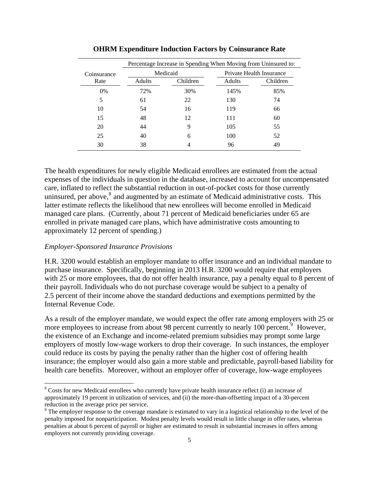|             | Percentage Increase in Spending When Moving from Uninsured to: |          |                          |          |  |  |  |  |  |  |  |  |
|-------------|----------------------------------------------------------------|----------|--------------------------|----------|--|--|--|--|--|--|--|--|
| Coinsurance |                                                                | Medicaid | Private Health Insurance |          |  |  |  |  |  |  |  |  |
| Rate        | Adults                                                         | Children | Adults                   | Children |  |  |  |  |  |  |  |  |
| 0%          | 72%                                                            | 30%      | 145%                     | 85%      |  |  |  |  |  |  |  |  |
| 5           | 61                                                             | 22       | 130                      | 74       |  |  |  |  |  |  |  |  |
| 10          | 54                                                             | 16       | 119                      | 66       |  |  |  |  |  |  |  |  |
| 15          | 48                                                             | 12       | 111                      | 60       |  |  |  |  |  |  |  |  |
| 20          | 44                                                             | 9        | 105                      | 55       |  |  |  |  |  |  |  |  |
| 25          | 40                                                             | 6        | 100                      | 52       |  |  |  |  |  |  |  |  |
| 30          | 38                                                             |          | 96                       | 49       |  |  |  |  |  |  |  |  |

**OHRM Expenditure Induction Factors by Coinsurance Rate**

The health expenditures for newly eligible Medicaid enrollees are estimated from the actual expenses of the individuals in question in the database, increased to account for uncompensated care, inflated to reflect the substantial reduction in out-of-pocket costs for those currently uninsured, per above, $8$  and augmented by an estimate of Medicaid administrative costs. This latter estimate reflects the likelihood that new enrollees will become enrolled in Medicaid managed care plans. (Currently, about 71 percent of Medicaid beneficiaries under 65 are enrolled in private managed care plans, which have administrative costs amounting to approximately 12 percent of spending.)

### *Employer-Sponsored Insurance Provisions*

H.R. 3200 would establish an employer mandate to offer insurance and an individual mandate to purchase insurance. Specifically, beginning in 2013 H.R. 3200 would require that employers with 25 or more employees, that do not offer health insurance, pay a penalty equal to 8 percent of their payroll. Individuals who do not purchase coverage would be subject to a penalty of 2.5 percent of their income above the standard deductions and exemptions permitted by the Internal Revenue Code.

As a result of the employer mandate, we would expect the offer rate among employers with 25 or more employees to increase from about [9](#page-30-1)8 percent currently to nearly 100 percent.<sup>9</sup> However, the existence of an Exchange and income-related premium subsidies may prompt some large employers of mostly low-wage workers to drop their coverage. In such instances, the employer could reduce its costs by paying the penalty rather than the higher cost of offering health insurance; the employer would also gain a more stable and predictable, payroll-based liability for health care benefits. Moreover, without an employer offer of coverage, low-wage employees

<span id="page-30-0"></span> $8$  Costs for new Medicaid enrollees who currently have private health insurance reflect (i) an increase of approximately 19 percent in utilization of services, and (ii) the more-than-offsetting impact of a 30-percent reduction in the average price per service.

<span id="page-30-1"></span><sup>&</sup>lt;sup>9</sup> The employer response to the coverage mandate is estimated to vary in a logistical relationship to the level of the penalty imposed for nonparticipation. Modest penalty levels would result in little change in offer rates, whereas penalties at about 6 percent of payroll or higher are estimated to result in substantial increases in offers among employers not currently providing coverage.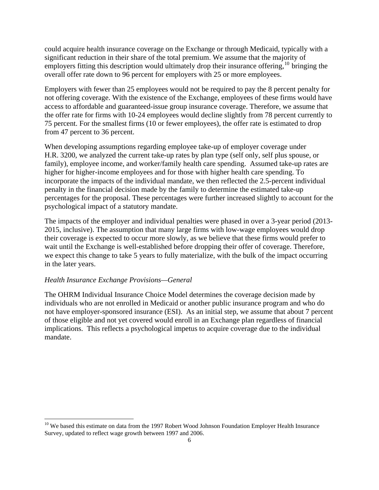could acquire health insurance coverage on the Exchange or through Medicaid, typically with a significant reduction in their share of the total premium. We assume that the majority of employers fitting this description would ultimately drop their insurance offering,<sup>[10](#page-31-0)</sup> bringing the overall offer rate down to 96 percent for employers with 25 or more employees.

Employers with fewer than 25 employees would not be required to pay the 8 percent penalty for not offering coverage. With the existence of the Exchange, employees of these firms would have access to affordable and guaranteed-issue group insurance coverage. Therefore, we assume that the offer rate for firms with 10-24 employees would decline slightly from 78 percent currently to 75 percent. For the smallest firms (10 or fewer employees), the offer rate is estimated to drop from 47 percent to 36 percent.

When developing assumptions regarding employee take-up of employer coverage under H.R. 3200, we analyzed the current take-up rates by plan type (self only, self plus spouse, or family), employee income, and worker/family health care spending. Assumed take-up rates are higher for higher-income employees and for those with higher health care spending. To incorporate the impacts of the individual mandate, we then reflected the 2.5-percent individual penalty in the financial decision made by the family to determine the estimated take-up percentages for the proposal. These percentages were further increased slightly to account for the psychological impact of a statutory mandate.

The impacts of the employer and individual penalties were phased in over a 3-year period (2013- 2015, inclusive). The assumption that many large firms with low-wage employees would drop their coverage is expected to occur more slowly, as we believe that these firms would prefer to wait until the Exchange is well-established before dropping their offer of coverage. Therefore, we expect this change to take 5 years to fully materialize, with the bulk of the impact occurring in the later years.

### *Health Insurance Exchange Provisions—General*

The OHRM Individual Insurance Choice Model determines the coverage decision made by individuals who are not enrolled in Medicaid or another public insurance program and who do not have employer-sponsored insurance (ESI). As an initial step, we assume that about 7 percent of those eligible and not yet covered would enroll in an Exchange plan regardless of financial implications. This reflects a psychological impetus to acquire coverage due to the individual mandate.

<span id="page-31-0"></span><sup>&</sup>lt;sup>10</sup> We based this estimate on data from the 1997 Robert Wood Johnson Foundation Employer Health Insurance Survey, updated to reflect wage growth between 1997 and 2006.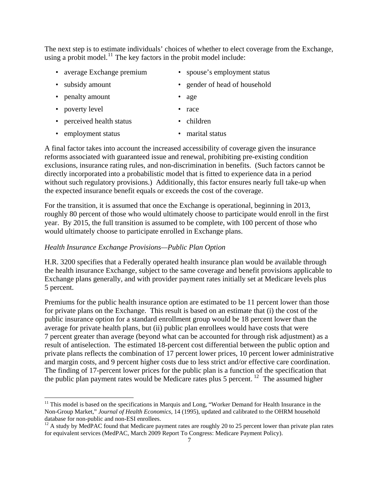The next step is to estimate individuals' choices of whether to elect coverage from the Exchange, using a probit model.<sup>[11](#page-32-0)</sup> The key factors in the probit model include:

- average Exchange premium spouse's employment status
- 

- penalty amount age
- poverty level race
- perceived health status children
	-
- employment status marital status

A final factor takes into account the increased accessibility of coverage given the insurance reforms associated with guaranteed issue and renewal, prohibiting pre-existing condition exclusions, insurance rating rules, and non-discrimination in benefits. (Such factors cannot be directly incorporated into a probabilistic model that is fitted to experience data in a period without such regulatory provisions.) Additionally, this factor ensures nearly full take-up when the expected insurance benefit equals or exceeds the cost of the coverage.

For the transition, it is assumed that once the Exchange is operational, beginning in 2013, roughly 80 percent of those who would ultimately choose to participate would enroll in the first year. By 2015, the full transition is assumed to be complete, with 100 percent of those who would ultimately choose to participate enrolled in Exchange plans.

### *Health Insurance Exchange Provisions—Public Plan Option*

H.R. 3200 specifies that a Federally operated health insurance plan would be available through the health insurance Exchange, subject to the same coverage and benefit provisions applicable to Exchange plans generally, and with provider payment rates initially set at Medicare levels plus 5 percent.

Premiums for the public health insurance option are estimated to be 11 percent lower than those for private plans on the Exchange. This result is based on an estimate that (i) the cost of the public insurance option for a standard enrollment group would be 18 percent lower than the average for private health plans, but (ii) public plan enrollees would have costs that were 7 percent greater than average (beyond what can be accounted for through risk adjustment) as a result of antiselection. The estimated 18-percent cost differential between the public option and private plans reflects the combination of 17 percent lower prices, 10 percent lower administrative and margin costs, and 9 percent higher costs due to less strict and/or effective care coordination. The finding of 17-percent lower prices for the public plan is a function of the specification that the public plan payment rates would be Medicare rates plus 5 percent. <sup>[12](#page-32-1)</sup> The assumed higher

- 
- subsidy amount gender of head of household
	-

<span id="page-32-0"></span><sup>&</sup>lt;sup>11</sup> This model is based on the specifications in Marquis and Long, "Worker Demand for Health Insurance in the Non-Group Market," *Journal of Health Economics*, 14 (1995), updated and calibrated to the OHRM household

<span id="page-32-1"></span> $^{12}$  A study by MedPAC found that Medicare payment rates are roughly 20 to 25 percent lower than private plan rates for equivalent services (MedPAC, March 2009 Report To Congress: Medicare Payment Policy).